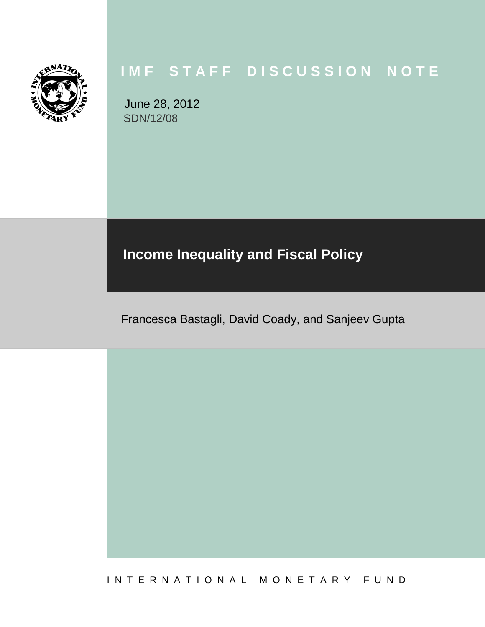

# **I M F S T A F F D I S C U S S I O N N O T E**

June 28, 2012 SDN/12/08

# **Income Inequality and Fiscal Policy**

Francesca Bastagli, David Coady, and Sanjeev Gupta

I N T E R N A T I O N A L M O N E T A R Y F U N D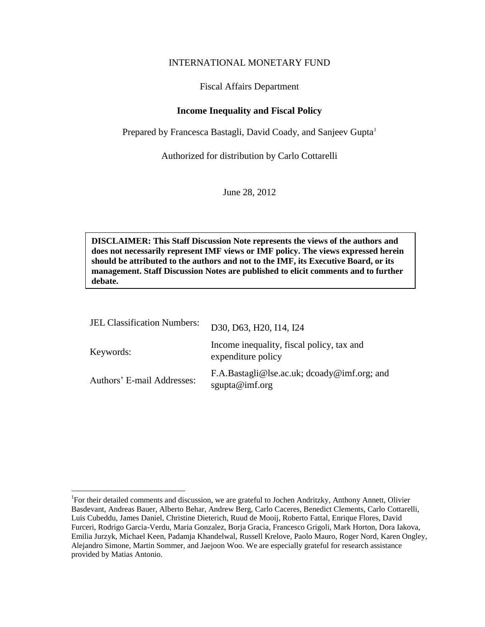#### INTERNATIONAL MONETARY FUND

#### Fiscal Affairs Department

### **Income Inequality and Fiscal Policy**

Prepared by Francesca Bastagli, David Coady, and Sanjeev Gupta<sup>1</sup>

Authorized for distribution by Carlo Cottarelli

June 28, 2012

**DISCLAIMER: This Staff Discussion Note represents the views of the authors and does not necessarily represent IMF views or IMF policy. The views expressed herein should be attributed to the authors and not to the IMF, its Executive Board, or its management. Staff Discussion Notes are published to elicit comments and to further debate.**

| <b>JEL Classification Numbers:</b> | D30, D63, H20, I14, I24                                          |
|------------------------------------|------------------------------------------------------------------|
| Keywords:                          | Income inequality, fiscal policy, tax and<br>expenditure policy  |
| Authors' E-mail Addresses:         | F.A.Bastagli@lse.ac.uk; $d$ coady@imf.org; and<br>sgupta@imf.org |

<sup>&</sup>lt;sup>1</sup>For their detailed comments and discussion, we are grateful to Jochen Andritzky, Anthony Annett, Olivier Basdevant, Andreas Bauer, Alberto Behar, Andrew Berg, Carlo Caceres, Benedict Clements, Carlo Cottarelli, Luis Cubeddu, James Daniel, Christine Dieterich, Ruud de Mooij, Roberto Fattal, Enrique Flores, David Furceri, Rodrigo Garcia-Verdu, Maria Gonzalez, Borja Gracia, Francesco Grigoli, Mark Horton, Dora Iakova, Emilia Jurzyk, Michael Keen, Padamja Khandelwal, Russell Krelove, Paolo Mauro, Roger Nord, Karen Ongley, Alejandro Simone, Martin Sommer, and Jaejoon Woo. We are especially grateful for research assistance provided by Matias Antonio.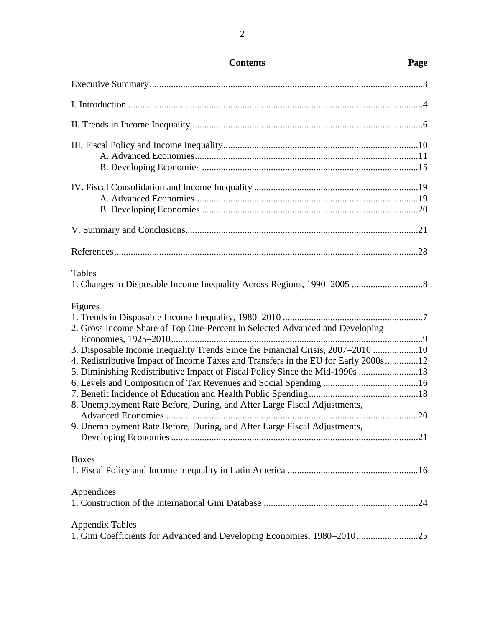| <b>Tables</b>                                                                      |  |
|------------------------------------------------------------------------------------|--|
|                                                                                    |  |
| Figures                                                                            |  |
|                                                                                    |  |
| 2. Gross Income Share of Top One-Percent in Selected Advanced and Developing       |  |
| 3. Disposable Income Inequality Trends Since the Financial Crisis, 2007-2010 10    |  |
| 4. Redistributive Impact of Income Taxes and Transfers in the EU for Early 2000s12 |  |
| 5. Diminishing Redistributive Impact of Fiscal Policy Since the Mid-1990s 13       |  |
|                                                                                    |  |
|                                                                                    |  |
| 8. Unemployment Rate Before, During, and After Large Fiscal Adjustments,           |  |
|                                                                                    |  |
| 9. Unemployment Rate Before, During, and After Large Fiscal Adjustments,           |  |
|                                                                                    |  |
| <b>Boxes</b>                                                                       |  |
|                                                                                    |  |
| Appendices                                                                         |  |
|                                                                                    |  |
| <b>Appendix Tables</b>                                                             |  |
| 1. Gini Coefficients for Advanced and Developing Economies, 1980-201025            |  |

## **Contents Page**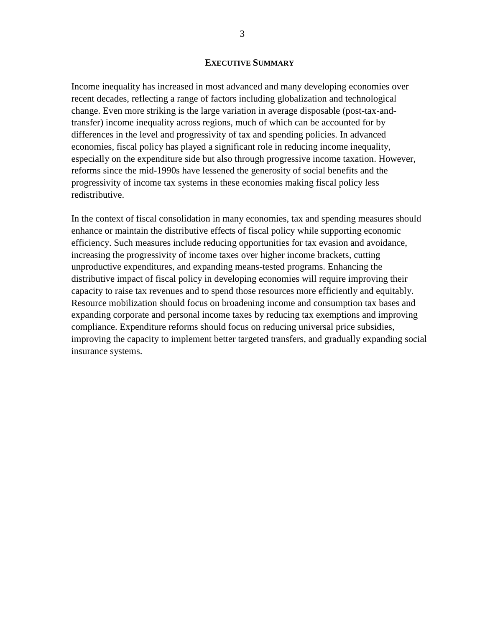#### **EXECUTIVE SUMMARY**

Income inequality has increased in most advanced and many developing economies over recent decades, reflecting a range of factors including globalization and technological change. Even more striking is the large variation in average disposable (post-tax-andtransfer) income inequality across regions, much of which can be accounted for by differences in the level and progressivity of tax and spending policies. In advanced economies, fiscal policy has played a significant role in reducing income inequality, especially on the expenditure side but also through progressive income taxation. However, reforms since the mid-1990s have lessened the generosity of social benefits and the progressivity of income tax systems in these economies making fiscal policy less redistributive.

In the context of fiscal consolidation in many economies, tax and spending measures should enhance or maintain the distributive effects of fiscal policy while supporting economic efficiency. Such measures include reducing opportunities for tax evasion and avoidance, increasing the progressivity of income taxes over higher income brackets, cutting unproductive expenditures, and expanding means-tested programs. Enhancing the distributive impact of fiscal policy in developing economies will require improving their capacity to raise tax revenues and to spend those resources more efficiently and equitably. Resource mobilization should focus on broadening income and consumption tax bases and expanding corporate and personal income taxes by reducing tax exemptions and improving compliance. Expenditure reforms should focus on reducing universal price subsidies, improving the capacity to implement better targeted transfers, and gradually expanding social insurance systems.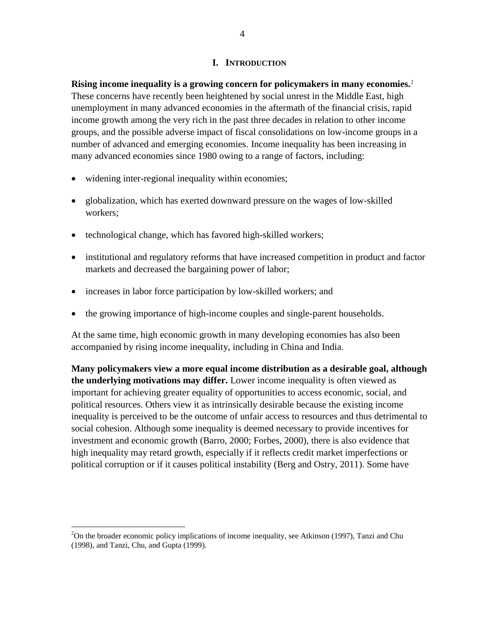#### **I. INTRODUCTION**

**Rising income inequality is a growing concern for policymakers in many economies.**<sup>2</sup> These concerns have recently been heightened by social unrest in the Middle East, high unemployment in many advanced economies in the aftermath of the financial crisis, rapid income growth among the very rich in the past three decades in relation to other income groups, and the possible adverse impact of fiscal consolidations on low-income groups in a number of advanced and emerging economies. Income inequality has been increasing in many advanced economies since 1980 owing to a range of factors, including:

- widening inter-regional inequality within economies;
- globalization, which has exerted downward pressure on the wages of low-skilled workers;
- technological change, which has favored high-skilled workers;
- institutional and regulatory reforms that have increased competition in product and factor markets and decreased the bargaining power of labor;
- increases in labor force participation by low-skilled workers; and
- the growing importance of high-income couples and single-parent households.

At the same time, high economic growth in many developing economies has also been accompanied by rising income inequality, including in China and India.

**Many policymakers view a more equal income distribution as a desirable goal, although the underlying motivations may differ.** Lower income inequality is often viewed as important for achieving greater equality of opportunities to access economic, social, and political resources. Others view it as intrinsically desirable because the existing income inequality is perceived to be the outcome of unfair access to resources and thus detrimental to social cohesion. Although some inequality is deemed necessary to provide incentives for investment and economic growth (Barro, 2000; Forbes, 2000), there is also evidence that high inequality may retard growth, especially if it reflects credit market imperfections or political corruption or if it causes political instability (Berg and Ostry, 2011). Some have

 $2$ On the broader economic policy implications of income inequality, see Atkinson (1997), Tanzi and Chu (1998), and Tanzi, Chu, and Gupta (1999).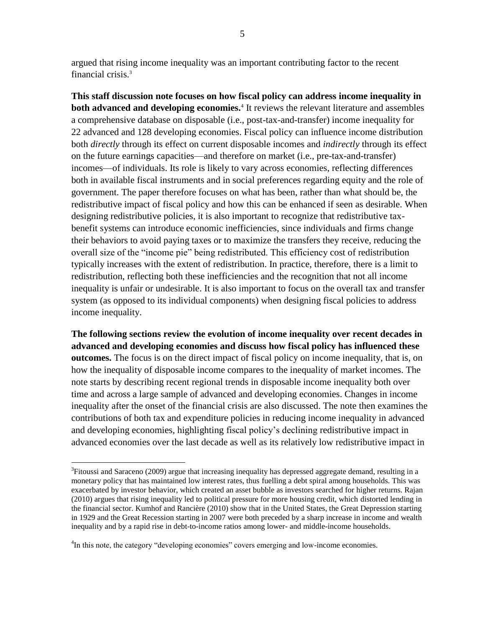argued that rising income inequality was an important contributing factor to the recent financial crisis.<sup>3</sup>

**This staff discussion note focuses on how fiscal policy can address income inequality in both advanced and developing economies.**<sup>4</sup> It reviews the relevant literature and assembles a comprehensive database on disposable (i.e., post-tax-and-transfer) income inequality for 22 advanced and 128 developing economies. Fiscal policy can influence income distribution both *directly* through its effect on current disposable incomes and *indirectly* through its effect on the future earnings capacities—and therefore on market (i.e., pre-tax-and-transfer) incomes—of individuals. Its role is likely to vary across economies, reflecting differences both in available fiscal instruments and in social preferences regarding equity and the role of government. The paper therefore focuses on what has been, rather than what should be, the redistributive impact of fiscal policy and how this can be enhanced if seen as desirable. When designing redistributive policies, it is also important to recognize that redistributive taxbenefit systems can introduce economic inefficiencies, since individuals and firms change their behaviors to avoid paying taxes or to maximize the transfers they receive, reducing the overall size of the "income pie" being redistributed. This efficiency cost of redistribution typically increases with the extent of redistribution. In practice, therefore, there is a limit to redistribution, reflecting both these inefficiencies and the recognition that not all income inequality is unfair or undesirable. It is also important to focus on the overall tax and transfer system (as opposed to its individual components) when designing fiscal policies to address income inequality.

**The following sections review the evolution of income inequality over recent decades in advanced and developing economies and discuss how fiscal policy has influenced these outcomes.** The focus is on the direct impact of fiscal policy on income inequality, that is, on how the inequality of disposable income compares to the inequality of market incomes. The note starts by describing recent regional trends in disposable income inequality both over time and across a large sample of advanced and developing economies. Changes in income inequality after the onset of the financial crisis are also discussed. The note then examines the contributions of both tax and expenditure policies in reducing income inequality in advanced and developing economies, highlighting fiscal policy's declining redistributive impact in advanced economies over the last decade as well as its relatively low redistributive impact in

 $3$ Fitoussi and Saraceno (2009) argue that increasing inequality has depressed aggregate demand, resulting in a monetary policy that has maintained low interest rates, thus fuelling a debt spiral among households. This was exacerbated by investor behavior, which created an asset bubble as investors searched for higher returns. Rajan (2010) argues that rising inequality led to political pressure for more housing credit, which distorted lending in the financial sector. Kumhof and Rancière (2010) show that in the United States, the Great Depression starting in 1929 and the Great Recession starting in 2007 were both preceded by a sharp increase in income and wealth inequality and by a rapid rise in debt-to-income ratios among lower- and middle-income households.

<sup>&</sup>lt;sup>4</sup>In this note, the category "developing economies" covers emerging and low-income economies.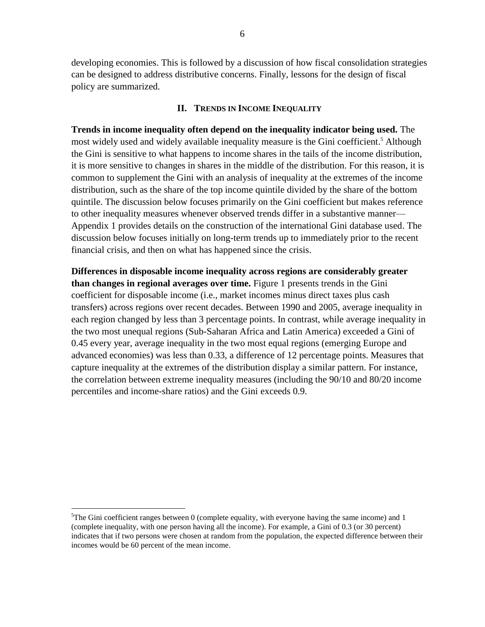developing economies. This is followed by a discussion of how fiscal consolidation strategies can be designed to address distributive concerns. Finally, lessons for the design of fiscal policy are summarized.

### **II. TRENDS IN INCOME INEQUALITY**

**Trends in income inequality often depend on the inequality indicator being used.** The most widely used and widely available inequality measure is the Gini coefficient. <sup>5</sup> Although the Gini is sensitive to what happens to income shares in the tails of the income distribution, it is more sensitive to changes in shares in the middle of the distribution. For this reason, it is common to supplement the Gini with an analysis of inequality at the extremes of the income distribution, such as the share of the top income quintile divided by the share of the bottom quintile. The discussion below focuses primarily on the Gini coefficient but makes reference to other inequality measures whenever observed trends differ in a substantive manner— Appendix 1 provides details on the construction of the international Gini database used. The discussion below focuses initially on long-term trends up to immediately prior to the recent financial crisis, and then on what has happened since the crisis.

**Differences in disposable income inequality across regions are considerably greater than changes in regional averages over time.** Figure 1 presents trends in the Gini coefficient for disposable income (i.e., market incomes minus direct taxes plus cash transfers) across regions over recent decades. Between 1990 and 2005, average inequality in each region changed by less than 3 percentage points. In contrast, while average inequality in the two most unequal regions (Sub-Saharan Africa and Latin America) exceeded a Gini of 0.45 every year, average inequality in the two most equal regions (emerging Europe and advanced economies) was less than 0.33, a difference of 12 percentage points. Measures that capture inequality at the extremes of the distribution display a similar pattern. For instance, the correlation between extreme inequality measures (including the 90/10 and 80/20 income percentiles and income-share ratios) and the Gini exceeds 0.9.

 $5$ The Gini coefficient ranges between 0 (complete equality, with everyone having the same income) and 1 (complete inequality, with one person having all the income). For example, a Gini of 0.3 (or 30 percent) indicates that if two persons were chosen at random from the population, the expected difference between their incomes would be 60 percent of the mean income.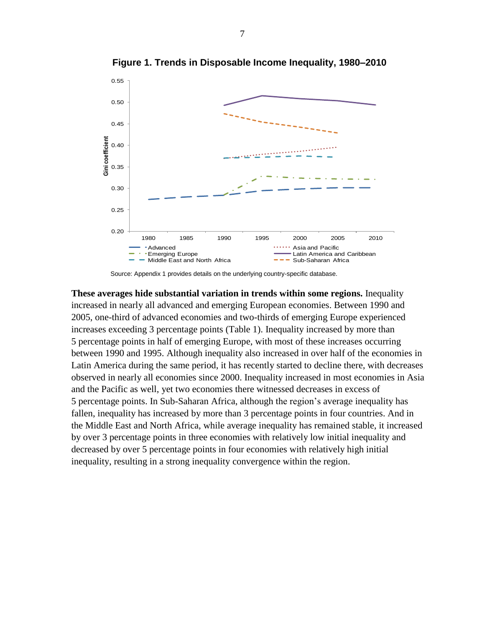

**Figure 1. Trends in Disposable Income Inequality, 1980–2010**

Source: Appendix 1 provides details on the underlying country-specific database.

**These averages hide substantial variation in trends within some regions.** Inequality increased in nearly all advanced and emerging European economies. Between 1990 and 2005, one-third of advanced economies and two-thirds of emerging Europe experienced increases exceeding 3 percentage points (Table 1). Inequality increased by more than 5 percentage points in half of emerging Europe, with most of these increases occurring between 1990 and 1995. Although inequality also increased in over half of the economies in Latin America during the same period, it has recently started to decline there, with decreases observed in nearly all economies since 2000. Inequality increased in most economies in Asia and the Pacific as well, yet two economies there witnessed decreases in excess of 5 percentage points. In Sub-Saharan Africa, although the region's average inequality has fallen, inequality has increased by more than 3 percentage points in four countries. And in the Middle East and North Africa, while average inequality has remained stable, it increased by over 3 percentage points in three economies with relatively low initial inequality and decreased by over 5 percentage points in four economies with relatively high initial inequality, resulting in a strong inequality convergence within the region.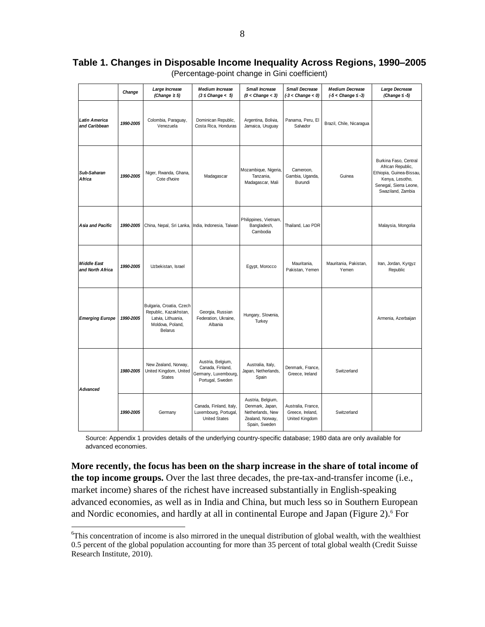# **Table 1. Changes in Disposable Income Inequality Across Regions, 1990–2005**

|                                        | Change    | Large Increase<br>(Change $\geq$ 5)                                                                           | <b>Medium Increase</b><br>$(3 \leq$ Change < 5)                                   | Small Increase<br>$(0 <$ Change $<$ 3)                                                        | <b>Small Decrease</b><br>$(-3 <$ Change $<$ 0)           | <b>Medium Decrease</b><br>$(5 <$ Change $\leq$ -3) | Large Decrease<br>(Change $\leq -5$ )                                                                                                    |
|----------------------------------------|-----------|---------------------------------------------------------------------------------------------------------------|-----------------------------------------------------------------------------------|-----------------------------------------------------------------------------------------------|----------------------------------------------------------|----------------------------------------------------|------------------------------------------------------------------------------------------------------------------------------------------|
| <b>Latin America</b><br>and Caribbean  | 1990-2005 | Colombia, Paraguay,<br>Venezuela                                                                              | Dominican Republic,<br>Costa Rica, Honduras                                       | Argentina, Bolivia,<br>Jamaica, Uruguay                                                       | Panama, Peru, El<br>Salvador                             | Brazil, Chile, Nicaragua                           |                                                                                                                                          |
| Sub-Saharan<br>Africa                  | 1990-2005 | Niger, Rwanda, Ghana,<br>Cote d'Ivoire                                                                        | Madagascar                                                                        | Mozambique, Nigeria,<br>Tanzania,<br>Madagascar, Mali                                         | Cameroon,<br>Gambia, Uganda,<br>Burundi                  | Guinea                                             | Burkina Faso, Central<br>African Republic,<br>Ethiopia, Guinea-Bissau,<br>Kenya, Lesotho,<br>Senegal, Sierra Leone,<br>Swaziland, Zambia |
| Asia and Pacific                       | 1990-2005 | China, Nepal, Sri Lanka, India, Indonesia, Taiwan                                                             |                                                                                   | Philippines, Vietnam,<br>Bangladesh,<br>Cambodia                                              | Thailand, Lao PDR                                        |                                                    | Malaysia, Mongolia                                                                                                                       |
| <b>Middle East</b><br>and North Africa | 1990-2005 | Uzbekistan, Israel                                                                                            |                                                                                   | Egypt, Morocco                                                                                | Mauritania,<br>Pakistan, Yemen                           | Mauritania, Pakistan,<br>Yemen                     | Iran, Jordan, Kyrgyz<br>Republic                                                                                                         |
| <b>Emerging Europe</b>                 | 1990-2005 | Bulgaria, Croatia, Czech<br>Republic, Kazakhstan,<br>Latvia, Lithuania,<br>Moldova, Poland,<br><b>Belarus</b> | Georgia, Russian<br>Federation, Ukraine,<br>Albania                               | Hungary, Slovenia,<br>Turkey                                                                  |                                                          |                                                    | Armenia, Azerbaijan                                                                                                                      |
| <b>Advanced</b>                        | 1980-2005 | New Zealand, Norway,<br>United Kingdom, United<br><b>States</b>                                               | Austria, Belgium,<br>Canada, Finland,<br>Germany, Luxembourg,<br>Portugal, Sweden | Australia, Italy,<br>Japan, Netherlands,<br>Spain                                             | Denmark, France,<br>Greece, Ireland                      | Switzerland                                        |                                                                                                                                          |
|                                        | 1990-2005 | Germany                                                                                                       | Canada, Finland, Italy,<br>Luxembourg, Portugal,<br><b>United States</b>          | Austria, Belgium,<br>Denmark, Japan,<br>Netherlands, New<br>Zealand, Norway,<br>Spain, Sweden | Australia, France,<br>Greece, Ireland,<br>United Kingdom | Switzerland                                        |                                                                                                                                          |

(Percentage-point change in Gini coefficient)

Source: Appendix 1 provides details of the underlying country-specific database; 1980 data are only available for advanced economies.

**More recently, the focus has been on the sharp increase in the share of total income of the top income groups.** Over the last three decades, the pre-tax-and-transfer income (i.e., market income) shares of the richest have increased substantially in English-speaking advanced economies, as well as in India and China, but much less so in Southern European and Nordic economies, and hardly at all in continental Europe and Japan (Figure 2).<sup>6</sup> For

<sup>&</sup>lt;sup>6</sup>This concentration of income is also mirrored in the unequal distribution of global wealth, with the wealthiest 0.5 percent of the global population accounting for more than 35 percent of total global wealth (Credit Suisse Research Institute, 2010).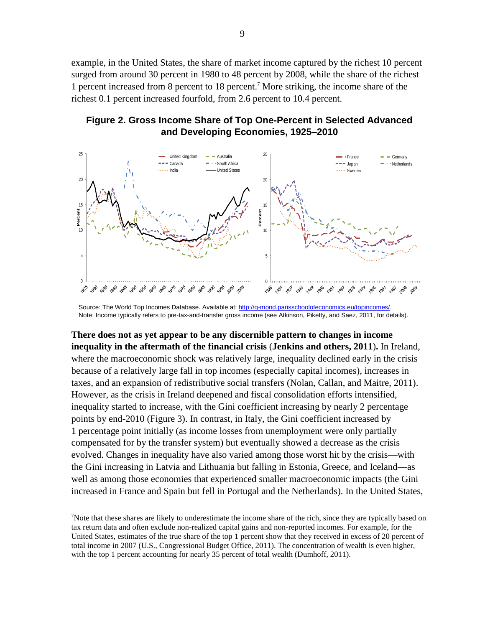example, in the United States, the share of market income captured by the richest 10 percent surged from around 30 percent in 1980 to 48 percent by 2008, while the share of the richest 1 percent increased from 8 percent to 18 percent.<sup>7</sup> More striking, the income share of the richest 0.1 percent increased fourfold, from 2.6 percent to 10.4 percent.

## **Figure 2. Gross Income Share of Top One-Percent in Selected Advanced and Developing Economies, 1925–2010**



Source: The World Top Incomes Database. Available at[: http://g-mond.parisschoolofeconomics.eu/topincomes/.](http://g-mond.parisschoolofeconomics.eu/topincomes/) Note: Income typically refers to pre-tax-and-transfer gross income (see Atkinson, Piketty, and Saez, 2011, for details).

**There does not as yet appear to be any discernible pattern to changes in income inequality in the aftermath of the financial crisis** (**Jenkins and others, 2011**)**.** In Ireland, where the macroeconomic shock was relatively large, inequality declined early in the crisis because of a relatively large fall in top incomes (especially capital incomes), increases in taxes, and an expansion of redistributive social transfers (Nolan, Callan, and Maitre, 2011). However, as the crisis in Ireland deepened and fiscal consolidation efforts intensified, inequality started to increase, with the Gini coefficient increasing by nearly 2 percentage points by end-2010 (Figure 3). In contrast, in Italy, the Gini coefficient increased by 1 percentage point initially (as income losses from unemployment were only partially compensated for by the transfer system) but eventually showed a decrease as the crisis evolved. Changes in inequality have also varied among those worst hit by the crisis—with the Gini increasing in Latvia and Lithuania but falling in Estonia, Greece, and Iceland—as well as among those economies that experienced smaller macroeconomic impacts (the Gini increased in France and Spain but fell in Portugal and the Netherlands). In the United States,

<sup>&</sup>lt;sup>7</sup>Note that these shares are likely to underestimate the income share of the rich, since they are typically based on tax return data and often exclude non-realized capital gains and non-reported incomes. For example, for the United States, estimates of the true share of the top 1 percent show that they received in excess of 20 percent of total income in 2007 (U.S., Congressional Budget Office, 2011). The concentration of wealth is even higher, with the top 1 percent accounting for nearly 35 percent of total wealth (Dumhoff, 2011).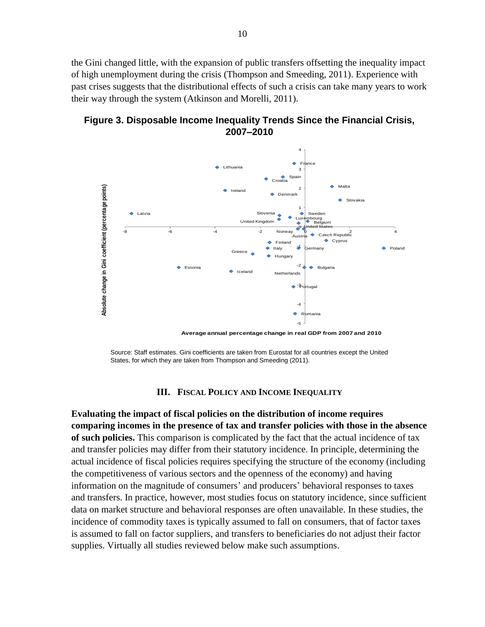the Gini changed little, with the expansion of public transfers offsetting the inequality impact of high unemployment during the crisis (Thompson and Smeeding, 2011). Experience with past crises suggests that the distributional effects of such a crisis can take many years to work their way through the system (Atkinson and Morelli, 2011).

**Figure 3. Disposable Income Inequality Trends Since the Financial Crisis, 2007–2010**



Source: Staff estimates. Gini coefficients are taken from Eurostat for all countries except the United States, for which they are taken from Thompson and Smeeding (2011).

#### **III. FISCAL POLICY AND INCOME INEQUALITY**

**Evaluating the impact of fiscal policies on the distribution of income requires comparing incomes in the presence of tax and transfer policies with those in the absence of such policies.** This comparison is complicated by the fact that the actual incidence of tax and transfer policies may differ from their statutory incidence. In principle, determining the actual incidence of fiscal policies requires specifying the structure of the economy (including the competitiveness of various sectors and the openness of the economy) and having information on the magnitude of consumers' and producers' behavioral responses to taxes and transfers. In practice, however, most studies focus on statutory incidence, since sufficient data on market structure and behavioral responses are often unavailable. In these studies, the incidence of commodity taxes is typically assumed to fall on consumers, that of factor taxes is assumed to fall on factor suppliers, and transfers to beneficiaries do not adjust their factor supplies. Virtually all studies reviewed below make such assumptions.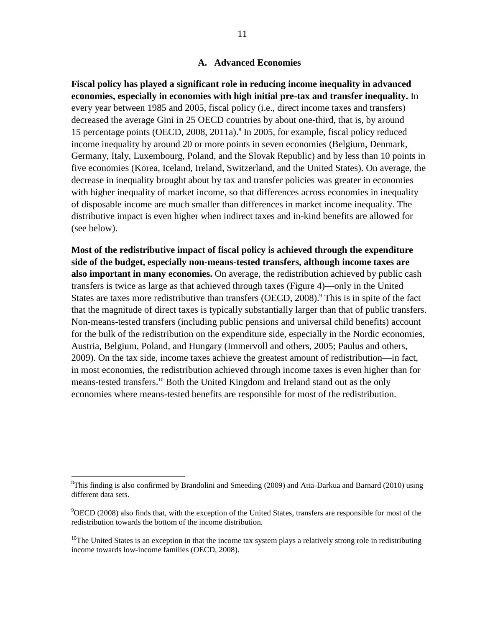#### **A. Advanced Economies**

**Fiscal policy has played a significant role in reducing income inequality in advanced economies, especially in economies with high initial pre-tax and transfer inequality.** In every year between 1985 and 2005, fiscal policy (i.e., direct income taxes and transfers) decreased the average Gini in 25 OECD countries by about one-third, that is, by around 15 percentage points (OECD, 2008, 2011a).<sup>8</sup> In 2005, for example, fiscal policy reduced income inequality by around 20 or more points in seven economies (Belgium, Denmark, Germany, Italy, Luxembourg, Poland, and the Slovak Republic) and by less than 10 points in five economies (Korea, Iceland, Ireland, Switzerland, and the United States). On average, the decrease in inequality brought about by tax and transfer policies was greater in economies with higher inequality of market income, so that differences across economies in inequality of disposable income are much smaller than differences in market income inequality. The distributive impact is even higher when indirect taxes and in-kind benefits are allowed for (see below).

**Most of the redistributive impact of fiscal policy is achieved through the expenditure side of the budget, especially non-means-tested transfers, although income taxes are also important in many economies.** On average, the redistribution achieved by public cash transfers is twice as large as that achieved through taxes (Figure 4)—only in the United States are taxes more redistributive than transfers (OECD, 2008).<sup>9</sup> This is in spite of the fact that the magnitude of direct taxes is typically substantially larger than that of public transfers. Non-means-tested transfers (including public pensions and universal child benefits) account for the bulk of the redistribution on the expenditure side, especially in the Nordic economies, Austria, Belgium, Poland, and Hungary (Immervoll and others, 2005; Paulus and others, 2009). On the tax side, income taxes achieve the greatest amount of redistribution—in fact, in most economies, the redistribution achieved through income taxes is even higher than for means-tested transfers.<sup>10</sup> Both the United Kingdom and Ireland stand out as the only economies where means-tested benefits are responsible for most of the redistribution.

<sup>&</sup>lt;sup>8</sup>This finding is also confirmed by Brandolini and Smeeding (2009) and Atta-Darkua and Barnard (2010) using different data sets.

<sup>9</sup>OECD (2008) also finds that, with the exception of the United States, transfers are responsible for most of the redistribution towards the bottom of the income distribution.

 $10$ The United States is an exception in that the income tax system plays a relatively strong role in redistributing income towards low-income families (OECD, 2008).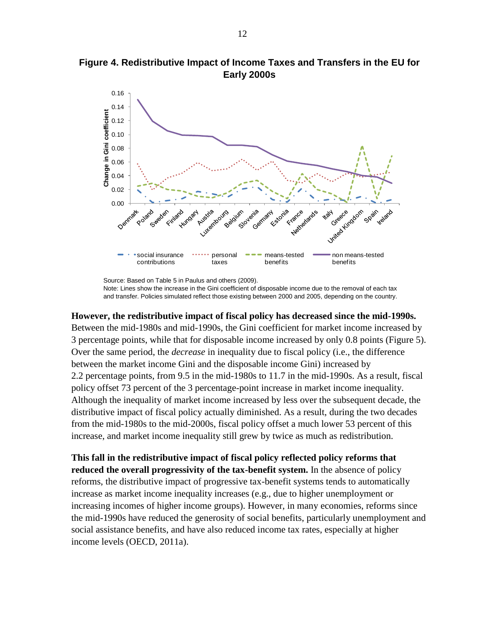

**Figure 4. Redistributive Impact of Income Taxes and Transfers in the EU for Early 2000s**

Source: Based on Table 5 in Paulus and others (2009). Note: Lines show the increase in the Gini coefficient of disposable income due to the removal of each tax and transfer. Policies simulated reflect those existing between 2000 and 2005, depending on the country.

#### **However, the redistributive impact of fiscal policy has decreased since the mid-1990s.**

Between the mid-1980s and mid-1990s, the Gini coefficient for market income increased by 3 percentage points, while that for disposable income increased by only 0.8 points (Figure 5). Over the same period, the *decrease* in inequality due to fiscal policy (i.e., the difference between the market income Gini and the disposable income Gini) increased by 2.2 percentage points, from 9.5 in the mid-1980s to 11.7 in the mid-1990s. As a result, fiscal policy offset 73 percent of the 3 percentage-point increase in market income inequality. Although the inequality of market income increased by less over the subsequent decade, the distributive impact of fiscal policy actually diminished. As a result, during the two decades from the mid-1980s to the mid-2000s, fiscal policy offset a much lower 53 percent of this increase, and market income inequality still grew by twice as much as redistribution.

**This fall in the redistributive impact of fiscal policy reflected policy reforms that reduced the overall progressivity of the tax-benefit system.** In the absence of policy reforms, the distributive impact of progressive tax-benefit systems tends to automatically increase as market income inequality increases (e.g., due to higher unemployment or increasing incomes of higher income groups). However, in many economies, reforms since the mid-1990s have reduced the generosity of social benefits, particularly unemployment and social assistance benefits, and have also reduced income tax rates, especially at higher income levels (OECD, 2011a).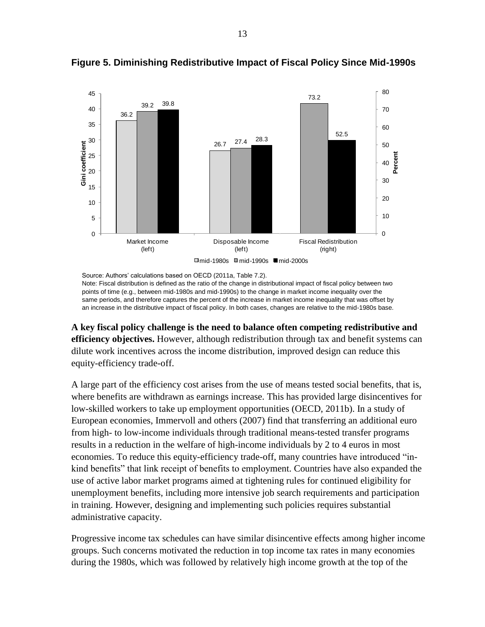

**Figure 5. Diminishing Redistributive Impact of Fiscal Policy Since Mid-1990s**

Source: Authors' calculations based on OECD (2011a, Table 7.2). Note: Fiscal distribution is defined as the ratio of the change in distributional impact of fiscal policy between two points of time (e.g., between mid-1980s and mid-1990s) to the change in market income inequality over the same periods, and therefore captures the percent of the increase in market income inequality that was offset by an increase in the distributive impact of fiscal policy. In both cases, changes are relative to the mid-1980s base.

**A key fiscal policy challenge is the need to balance often competing redistributive and efficiency objectives.** However, although redistribution through tax and benefit systems can dilute work incentives across the income distribution, improved design can reduce this equity-efficiency trade-off.

A large part of the efficiency cost arises from the use of means tested social benefits, that is, where benefits are withdrawn as earnings increase. This has provided large disincentives for low-skilled workers to take up employment opportunities (OECD, 2011b). In a study of European economies, Immervoll and others (2007) find that transferring an additional euro from high- to low-income individuals through traditional means-tested transfer programs results in a reduction in the welfare of high-income individuals by 2 to 4 euros in most economies. To reduce this equity-efficiency trade-off, many countries have introduced "inkind benefits" that link receipt of benefits to employment. Countries have also expanded the use of active labor market programs aimed at tightening rules for continued eligibility for unemployment benefits, including more intensive job search requirements and participation in training. However, designing and implementing such policies requires substantial administrative capacity.

Progressive income tax schedules can have similar disincentive effects among higher income groups. Such concerns motivated the reduction in top income tax rates in many economies during the 1980s, which was followed by relatively high income growth at the top of the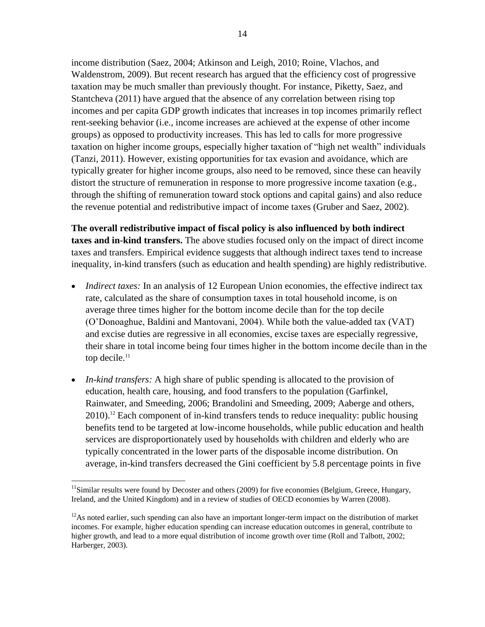income distribution (Saez, 2004; Atkinson and Leigh, 2010; Roine, Vlachos, and Waldenstrom, 2009). But recent research has argued that the efficiency cost of progressive taxation may be much smaller than previously thought. For instance, Piketty, Saez, and Stantcheva (2011) have argued that the absence of any correlation between rising top incomes and per capita GDP growth indicates that increases in top incomes primarily reflect rent-seeking behavior (i.e., income increases are achieved at the expense of other income groups) as opposed to productivity increases. This has led to calls for more progressive taxation on higher income groups, especially higher taxation of "high net wealth" individuals (Tanzi, 2011). However, existing opportunities for tax evasion and avoidance, which are typically greater for higher income groups, also need to be removed, since these can heavily distort the structure of remuneration in response to more progressive income taxation (e.g., through the shifting of remuneration toward stock options and capital gains) and also reduce the revenue potential and redistributive impact of income taxes (Gruber and Saez, 2002).

**The overall redistributive impact of fiscal policy is also influenced by both indirect taxes and in-kind transfers.** The above studies focused only on the impact of direct income taxes and transfers. Empirical evidence suggests that although indirect taxes tend to increase inequality, in-kind transfers (such as education and health spending) are highly redistributive.

- *Indirect taxes:* In an analysis of 12 European Union economies, the effective indirect tax rate, calculated as the share of consumption taxes in total household income, is on average three times higher for the bottom income decile than for the top decile (O'Donoaghue, Baldini and Mantovani, 2004). While both the value-added tax (VAT) and excise duties are regressive in all economies, excise taxes are especially regressive, their share in total income being four times higher in the bottom income decile than in the top decile.<sup>11</sup>
- *In-kind transfers:* A high share of public spending is allocated to the provision of education, health care, housing, and food transfers to the population (Garfinkel, Rainwater, and Smeeding, 2006; Brandolini and Smeeding, 2009; Aaberge and others,  $2010$ .<sup>12</sup> Each component of in-kind transfers tends to reduce inequality: public housing benefits tend to be targeted at low-income households, while public education and health services are disproportionately used by households with children and elderly who are typically concentrated in the lower parts of the disposable income distribution. On average, in-kind transfers decreased the Gini coefficient by 5.8 percentage points in five

 $11$ Similar results were found by Decoster and others (2009) for five economies (Belgium, Greece, Hungary, Ireland, and the United Kingdom) and in a review of studies of OECD economies by Warren (2008).

 $12$ As noted earlier, such spending can also have an important longer-term impact on the distribution of market incomes. For example, higher education spending can increase education outcomes in general, contribute to higher growth, and lead to a more equal distribution of income growth over time (Roll and Talbott, 2002; Harberger, 2003).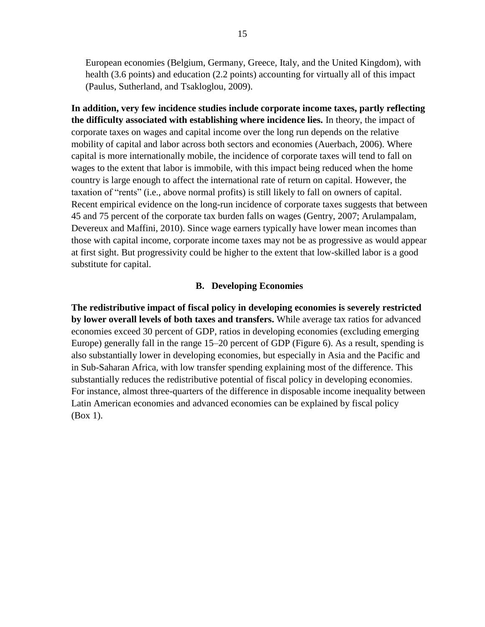European economies (Belgium, Germany, Greece, Italy, and the United Kingdom), with health (3.6 points) and education (2.2 points) accounting for virtually all of this impact (Paulus, Sutherland, and Tsakloglou, 2009).

**In addition, very few incidence studies include corporate income taxes, partly reflecting the difficulty associated with establishing where incidence lies.** In theory, the impact of corporate taxes on wages and capital income over the long run depends on the relative mobility of capital and labor across both sectors and economies (Auerbach, 2006). Where capital is more internationally mobile, the incidence of corporate taxes will tend to fall on wages to the extent that labor is immobile, with this impact being reduced when the home country is large enough to affect the international rate of return on capital. However, the taxation of "rents" (i.e., above normal profits) is still likely to fall on owners of capital. Recent empirical evidence on the long-run incidence of corporate taxes suggests that between 45 and 75 percent of the corporate tax burden falls on wages (Gentry, 2007; Arulampalam, Devereux and Maffini, 2010). Since wage earners typically have lower mean incomes than those with capital income, corporate income taxes may not be as progressive as would appear at first sight. But progressivity could be higher to the extent that low-skilled labor is a good substitute for capital.

#### **B. Developing Economies**

**The redistributive impact of fiscal policy in developing economies is severely restricted by lower overall levels of both taxes and transfers.** While average tax ratios for advanced economies exceed 30 percent of GDP, ratios in developing economies (excluding emerging Europe) generally fall in the range 15–20 percent of GDP (Figure 6). As a result, spending is also substantially lower in developing economies, but especially in Asia and the Pacific and in Sub-Saharan Africa, with low transfer spending explaining most of the difference. This substantially reduces the redistributive potential of fiscal policy in developing economies. For instance, almost three-quarters of the difference in disposable income inequality between Latin American economies and advanced economies can be explained by fiscal policy (Box 1).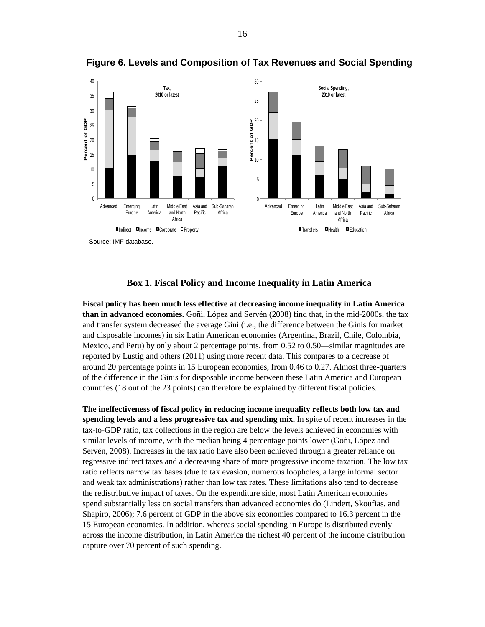

**Figure 6. Levels and Composition of Tax Revenues and Social Spending**

#### **Box 1. Fiscal Policy and Income Inequality in Latin America**

**Fiscal policy has been much less effective at decreasing income inequality in Latin America than in advanced economies.** Goñi, López and Servén (2008) find that, in the mid-2000s, the tax and transfer system decreased the average Gini (i.e., the difference between the Ginis for market and disposable incomes) in six Latin American economies (Argentina, Brazil, Chile, Colombia, Mexico, and Peru) by only about 2 percentage points, from 0.52 to 0.50—similar magnitudes are reported by Lustig and others (2011) using more recent data. This compares to a decrease of around 20 percentage points in 15 European economies, from 0.46 to 0.27. Almost three-quarters of the difference in the Ginis for disposable income between these Latin America and European countries (18 out of the 23 points) can therefore be explained by different fiscal policies.

**The ineffectiveness of fiscal policy in reducing income inequality reflects both low tax and spending levels and a less progressive tax and spending mix.** In spite of recent increases in the tax-to-GDP ratio, tax collections in the region are below the levels achieved in economies with similar levels of income, with the median being 4 percentage points lower (Goñi, López and Servén, 2008). Increases in the tax ratio have also been achieved through a greater reliance on regressive indirect taxes and a decreasing share of more progressive income taxation. The low tax ratio reflects narrow tax bases (due to tax evasion, numerous loopholes, a large informal sector and weak tax administrations) rather than low tax rates. These limitations also tend to decrease the redistributive impact of taxes. On the expenditure side, most Latin American economies spend substantially less on social transfers than advanced economies do (Lindert, Skoufias, and Shapiro, 2006); 7.6 percent of GDP in the above six economies compared to 16.3 percent in the 15 European economies. In addition, whereas social spending in Europe is distributed evenly across the income distribution, in Latin America the richest 40 percent of the income distribution capture over 70 percent of such spending.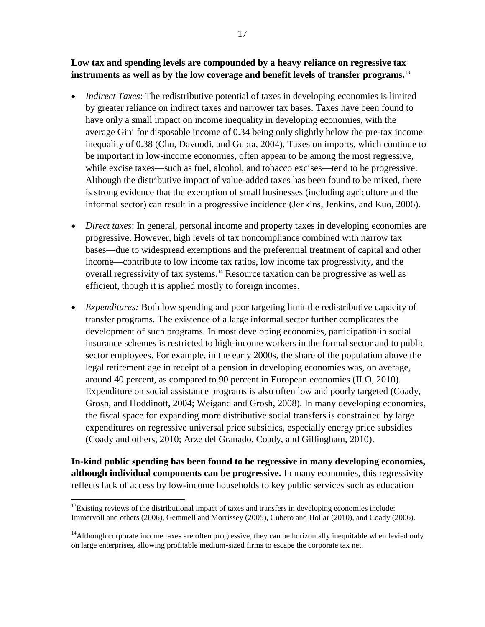**Low tax and spending levels are compounded by a heavy reliance on regressive tax instruments as well as by the low coverage and benefit levels of transfer programs.** 13

- *Indirect Taxes:* The redistributive potential of taxes in developing economies is limited by greater reliance on indirect taxes and narrower tax bases. Taxes have been found to have only a small impact on income inequality in developing economies, with the average Gini for disposable income of 0.34 being only slightly below the pre-tax income inequality of 0.38 (Chu, Davoodi, and Gupta, 2004). Taxes on imports, which continue to be important in low-income economies, often appear to be among the most regressive, while excise taxes—such as fuel, alcohol, and tobacco excises—tend to be progressive. Although the distributive impact of value-added taxes has been found to be mixed, there is strong evidence that the exemption of small businesses (including agriculture and the informal sector) can result in a progressive incidence (Jenkins, Jenkins, and Kuo, 2006).
- *Direct taxes*: In general, personal income and property taxes in developing economies are progressive. However, high levels of tax noncompliance combined with narrow tax bases—due to widespread exemptions and the preferential treatment of capital and other income—contribute to low income tax ratios, low income tax progressivity, and the overall regressivity of tax systems.<sup>14</sup> Resource taxation can be progressive as well as efficient, though it is applied mostly to foreign incomes.
- *Expenditures:* Both low spending and poor targeting limit the redistributive capacity of transfer programs. The existence of a large informal sector further complicates the development of such programs. In most developing economies, participation in social insurance schemes is restricted to high-income workers in the formal sector and to public sector employees. For example, in the early 2000s, the share of the population above the legal retirement age in receipt of a pension in developing economies was, on average, around 40 percent, as compared to 90 percent in European economies (ILO, 2010). Expenditure on social assistance programs is also often low and poorly targeted (Coady, Grosh, and Hoddinott, 2004; Weigand and Grosh, 2008). In many developing economies, the fiscal space for expanding more distributive social transfers is constrained by large expenditures on regressive universal price subsidies, especially energy price subsidies (Coady and others, 2010; Arze del Granado, Coady, and Gillingham, 2010).

**In-kind public spending has been found to be regressive in many developing economies, although individual components can be progressive.** In many economies, this regressivity reflects lack of access by low-income households to key public services such as education

<sup>&</sup>lt;sup>13</sup>Existing reviews of the distributional impact of taxes and transfers in developing economies include: Immervoll and others (2006), Gemmell and Morrissey (2005), Cubero and Hollar (2010), and Coady (2006).

 $14$ Although corporate income taxes are often progressive, they can be horizontally inequitable when levied only on large enterprises, allowing profitable medium-sized firms to escape the corporate tax net.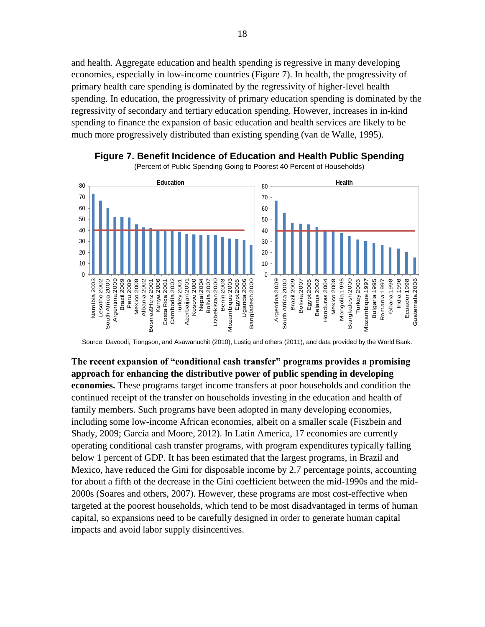and health. Aggregate education and health spending is regressive in many developing economies, especially in low-income countries (Figure 7). In health, the progressivity of primary health care spending is dominated by the regressivity of higher-level health spending. In education, the progressivity of primary education spending is dominated by the regressivity of secondary and tertiary education spending. However, increases in in-kind spending to finance the expansion of basic education and health services are likely to be much more progressively distributed than existing spending (van de Walle, 1995).





(Percent of Public Spending Going to Poorest 40 Percent of Households)

Source: Davoodi, Tiongson, and Asawanuchit (2010), Lustig and others (2011), and data provided by the World Bank.

**The recent expansion of "conditional cash transfer" programs provides a promising approach for enhancing the distributive power of public spending in developing economies.** These programs target income transfers at poor households and condition the continued receipt of the transfer on households investing in the education and health of family members. Such programs have been adopted in many developing economies, including some low-income African economies, albeit on a smaller scale (Fiszbein and Shady, 2009; Garcia and Moore, 2012). In Latin America, 17 economies are currently operating conditional cash transfer programs, with program expenditures typically falling below 1 percent of GDP. It has been estimated that the largest programs, in Brazil and Mexico, have reduced the Gini for disposable income by 2.7 percentage points, accounting for about a fifth of the decrease in the Gini coefficient between the mid-1990s and the mid-2000s (Soares and others, 2007). However, these programs are most cost-effective when targeted at the poorest households, which tend to be most disadvantaged in terms of human capital, so expansions need to be carefully designed in order to generate human capital impacts and avoid labor supply disincentives.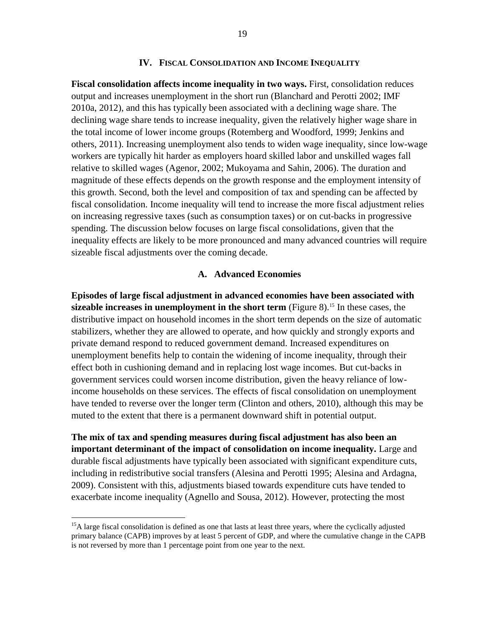#### **IV. FISCAL CONSOLIDATION AND INCOME INEQUALITY**

**Fiscal consolidation affects income inequality in two ways.** First, consolidation reduces output and increases unemployment in the short run (Blanchard and Perotti 2002; IMF 2010a, 2012), and this has typically been associated with a declining wage share. The declining wage share tends to increase inequality, given the relatively higher wage share in the total income of lower income groups (Rotemberg and Woodford, 1999; Jenkins and others, 2011). Increasing unemployment also tends to widen wage inequality, since low-wage workers are typically hit harder as employers hoard skilled labor and unskilled wages fall relative to skilled wages (Agenor, 2002; Mukoyama and Sahin, 2006). The duration and magnitude of these effects depends on the growth response and the employment intensity of this growth. Second, both the level and composition of tax and spending can be affected by fiscal consolidation. Income inequality will tend to increase the more fiscal adjustment relies on increasing regressive taxes (such as consumption taxes) or on cut-backs in progressive spending. The discussion below focuses on large fiscal consolidations, given that the inequality effects are likely to be more pronounced and many advanced countries will require sizeable fiscal adjustments over the coming decade.

#### **A. Advanced Economies**

**Episodes of large fiscal adjustment in advanced economies have been associated with sizeable increases in unemployment in the short term** (Figure 8).<sup>15</sup> In these cases, the distributive impact on household incomes in the short term depends on the size of automatic stabilizers, whether they are allowed to operate, and how quickly and strongly exports and private demand respond to reduced government demand. Increased expenditures on unemployment benefits help to contain the widening of income inequality, through their effect both in cushioning demand and in replacing lost wage incomes. But cut-backs in government services could worsen income distribution, given the heavy reliance of lowincome households on these services. The effects of fiscal consolidation on unemployment have tended to reverse over the longer term (Clinton and others, 2010), although this may be muted to the extent that there is a permanent downward shift in potential output.

**The mix of tax and spending measures during fiscal adjustment has also been an important determinant of the impact of consolidation on income inequality.** Large and durable fiscal adjustments have typically been associated with significant expenditure cuts, including in redistributive social transfers (Alesina and Perotti 1995; Alesina and Ardagna, 2009). Consistent with this, adjustments biased towards expenditure cuts have tended to exacerbate income inequality (Agnello and Sousa, 2012). However, protecting the most

<sup>&</sup>lt;sup>15</sup>A large fiscal consolidation is defined as one that lasts at least three years, where the cyclically adjusted primary balance (CAPB) improves by at least 5 percent of GDP, and where the cumulative change in the CAPB is not reversed by more than 1 percentage point from one year to the next.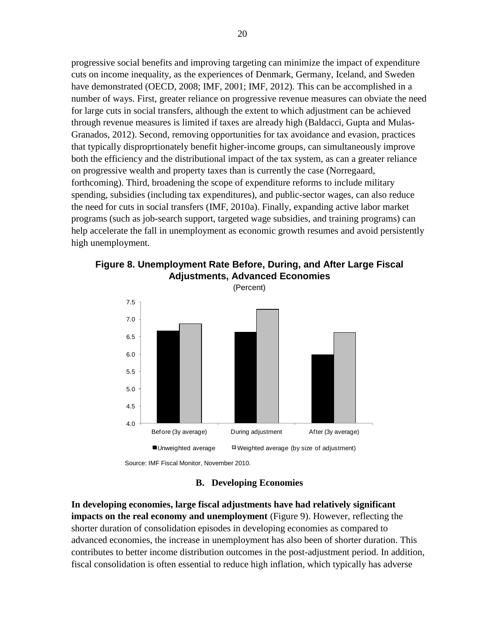progressive social benefits and improving targeting can minimize the impact of expenditure cuts on income inequality, as the experiences of Denmark, Germany, Iceland, and Sweden have demonstrated (OECD, 2008; IMF, 2001; IMF, 2012). This can be accomplished in a number of ways. First, greater reliance on progressive revenue measures can obviate the need for large cuts in social transfers, although the extent to which adjustment can be achieved through revenue measures is limited if taxes are already high (Baldacci, Gupta and Mulas-Granados, 2012). Second, removing opportunities for tax avoidance and evasion, practices that typically disproprtionately benefit higher-income groups, can simultaneously improve both the efficiency and the distributional impact of the tax system, as can a greater reliance on progressive wealth and property taxes than is currently the case (Norregaard, forthcoming). Third, broadening the scope of expenditure reforms to include military spending, subsidies (including tax expenditures), and public-sector wages, can also reduce the need for cuts in social transfers (IMF, 2010a). Finally, expanding active labor market programs (such as job-search support, targeted wage subsidies, and training programs) can help accelerate the fall in unemployment as economic growth resumes and avoid persistently high unemployment.



**Figure 8. Unemployment Rate Before, During, and After Large Fiscal Adjustments, Advanced Economies**

Source: IMF Fiscal Monitor, November 2010.

#### **B. Developing Economies**

**In developing economies, large fiscal adjustments have had relatively significant impacts** on the real economy and unemployment (Figure 9). However, reflecting the shorter duration of consolidation episodes in developing economies as compared to advanced economies, the increase in unemployment has also been of shorter duration. This contributes to better income distribution outcomes in the post-adjustment period. In addition, fiscal consolidation is often essential to reduce high inflation, which typically has adverse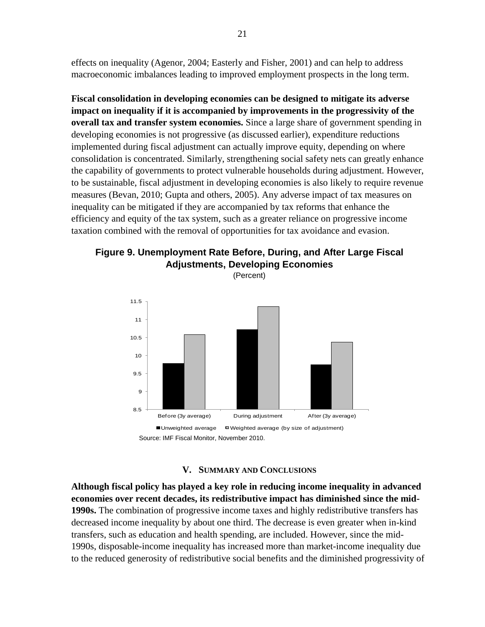effects on inequality (Agenor, 2004; Easterly and Fisher, 2001) and can help to address macroeconomic imbalances leading to improved employment prospects in the long term.

**Fiscal consolidation in developing economies can be designed to mitigate its adverse impact on inequality if it is accompanied by improvements in the progressivity of the overall tax and transfer system economies.** Since a large share of government spending in developing economies is not progressive (as discussed earlier), expenditure reductions implemented during fiscal adjustment can actually improve equity, depending on where consolidation is concentrated. Similarly, strengthening social safety nets can greatly enhance the capability of governments to protect vulnerable households during adjustment. However, to be sustainable, fiscal adjustment in developing economies is also likely to require revenue measures (Bevan, 2010; Gupta and others, 2005). Any adverse impact of tax measures on inequality can be mitigated if they are accompanied by tax reforms that enhance the efficiency and equity of the tax system, such as a greater reliance on progressive income taxation combined with the removal of opportunities for tax avoidance and evasion.



(Percent)



#### **V. SUMMARY AND CONCLUSIONS**

**Although fiscal policy has played a key role in reducing income inequality in advanced economies over recent decades, its redistributive impact has diminished since the mid-1990s.** The combination of progressive income taxes and highly redistributive transfers has decreased income inequality by about one third. The decrease is even greater when in-kind transfers, such as education and health spending, are included. However, since the mid-1990s, disposable-income inequality has increased more than market-income inequality due to the reduced generosity of redistributive social benefits and the diminished progressivity of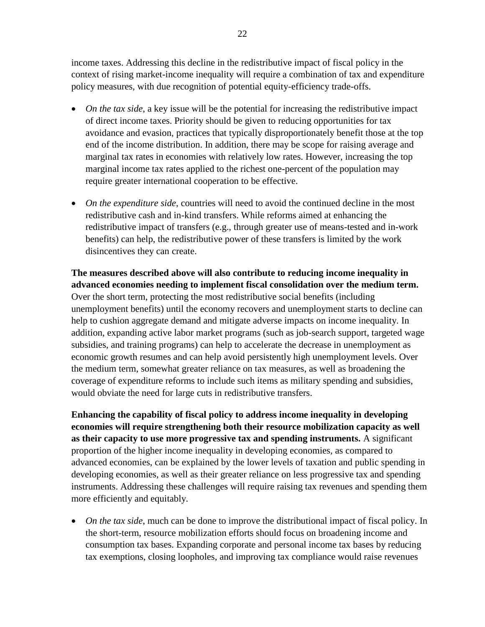income taxes. Addressing this decline in the redistributive impact of fiscal policy in the context of rising market-income inequality will require a combination of tax and expenditure policy measures, with due recognition of potential equity-efficiency trade-offs.

- *On the tax side*, a key issue will be the potential for increasing the redistributive impact of direct income taxes. Priority should be given to reducing opportunities for tax avoidance and evasion, practices that typically disproportionately benefit those at the top end of the income distribution. In addition, there may be scope for raising average and marginal tax rates in economies with relatively low rates. However, increasing the top marginal income tax rates applied to the richest one-percent of the population may require greater international cooperation to be effective.
- *On the expenditure side*, countries will need to avoid the continued decline in the most redistributive cash and in-kind transfers. While reforms aimed at enhancing the redistributive impact of transfers (e.g., through greater use of means-tested and in-work benefits) can help, the redistributive power of these transfers is limited by the work disincentives they can create.

**The measures described above will also contribute to reducing income inequality in advanced economies needing to implement fiscal consolidation over the medium term.** Over the short term, protecting the most redistributive social benefits (including unemployment benefits) until the economy recovers and unemployment starts to decline can help to cushion aggregate demand and mitigate adverse impacts on income inequality. In addition, expanding active labor market programs (such as job-search support, targeted wage subsidies, and training programs) can help to accelerate the decrease in unemployment as economic growth resumes and can help avoid persistently high unemployment levels. Over the medium term, somewhat greater reliance on tax measures, as well as broadening the coverage of expenditure reforms to include such items as military spending and subsidies, would obviate the need for large cuts in redistributive transfers.

**Enhancing the capability of fiscal policy to address income inequality in developing economies will require strengthening both their resource mobilization capacity as well as their capacity to use more progressive tax and spending instruments.** A significant proportion of the higher income inequality in developing economies, as compared to advanced economies, can be explained by the lower levels of taxation and public spending in developing economies, as well as their greater reliance on less progressive tax and spending instruments. Addressing these challenges will require raising tax revenues and spending them more efficiently and equitably.

 *On the tax side*, much can be done to improve the distributional impact of fiscal policy. In the short-term, resource mobilization efforts should focus on broadening income and consumption tax bases. Expanding corporate and personal income tax bases by reducing tax exemptions, closing loopholes, and improving tax compliance would raise revenues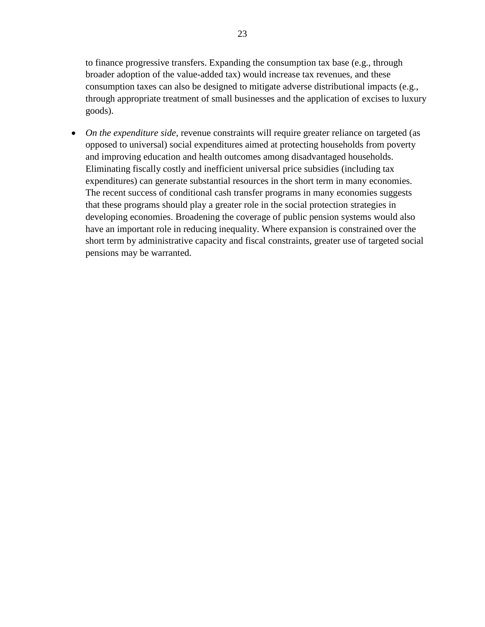to finance progressive transfers. Expanding the consumption tax base (e.g., through broader adoption of the value-added tax) would increase tax revenues, and these consumption taxes can also be designed to mitigate adverse distributional impacts (e.g., through appropriate treatment of small businesses and the application of excises to luxury goods).

• *On the expenditure side*, revenue constraints will require greater reliance on targeted (as opposed to universal) social expenditures aimed at protecting households from poverty and improving education and health outcomes among disadvantaged households. Eliminating fiscally costly and inefficient universal price subsidies (including tax expenditures) can generate substantial resources in the short term in many economies. The recent success of conditional cash transfer programs in many economies suggests that these programs should play a greater role in the social protection strategies in developing economies. Broadening the coverage of public pension systems would also have an important role in reducing inequality. Where expansion is constrained over the short term by administrative capacity and fiscal constraints, greater use of targeted social pensions may be warranted.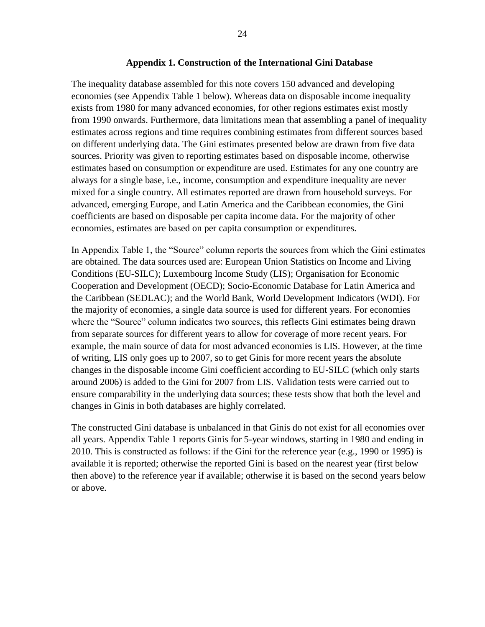#### **Appendix 1. Construction of the International Gini Database**

The inequality database assembled for this note covers 150 advanced and developing economies (see Appendix Table 1 below). Whereas data on disposable income inequality exists from 1980 for many advanced economies, for other regions estimates exist mostly from 1990 onwards. Furthermore, data limitations mean that assembling a panel of inequality estimates across regions and time requires combining estimates from different sources based on different underlying data. The Gini estimates presented below are drawn from five data sources. Priority was given to reporting estimates based on disposable income, otherwise estimates based on consumption or expenditure are used. Estimates for any one country are always for a single base, i.e., income, consumption and expenditure inequality are never mixed for a single country. All estimates reported are drawn from household surveys. For advanced, emerging Europe, and Latin America and the Caribbean economies, the Gini coefficients are based on disposable per capita income data. For the majority of other economies, estimates are based on per capita consumption or expenditures.

In Appendix Table 1, the "Source" column reports the sources from which the Gini estimates are obtained. The data sources used are: European Union Statistics on Income and Living Conditions (EU-SILC); Luxembourg Income Study (LIS); Organisation for Economic Cooperation and Development (OECD); Socio-Economic Database for Latin America and the Caribbean (SEDLAC); and the World Bank, World Development Indicators (WDI). For the majority of economies, a single data source is used for different years. For economies where the "Source" column indicates two sources, this reflects Gini estimates being drawn from separate sources for different years to allow for coverage of more recent years. For example, the main source of data for most advanced economies is LIS. However, at the time of writing, LIS only goes up to 2007, so to get Ginis for more recent years the absolute changes in the disposable income Gini coefficient according to EU-SILC (which only starts around 2006) is added to the Gini for 2007 from LIS. Validation tests were carried out to ensure comparability in the underlying data sources; these tests show that both the level and changes in Ginis in both databases are highly correlated.

The constructed Gini database is unbalanced in that Ginis do not exist for all economies over all years. Appendix Table 1 reports Ginis for 5-year windows, starting in 1980 and ending in 2010. This is constructed as follows: if the Gini for the reference year (e.g., 1990 or 1995) is available it is reported; otherwise the reported Gini is based on the nearest year (first below then above) to the reference year if available; otherwise it is based on the second years below or above.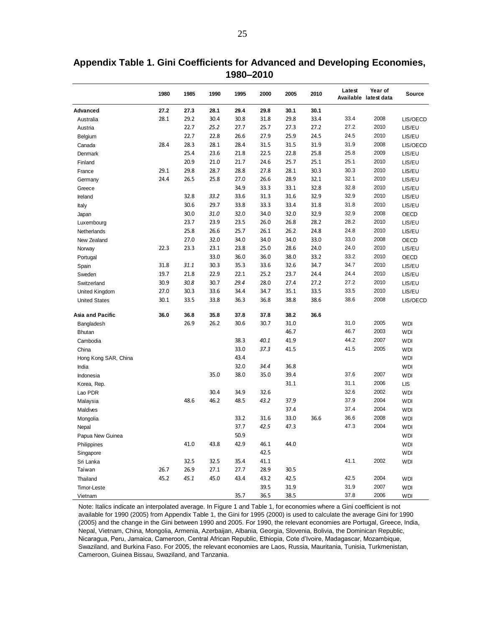|                      | 1980 | 1985 | 1990 | 1995 | 2000 | 2005 | 2010 | Latest | Year of<br>Available latest data | <b>Source</b> |
|----------------------|------|------|------|------|------|------|------|--------|----------------------------------|---------------|
| Advanced             | 27.2 | 27.3 | 28.1 | 29.4 | 29.8 | 30.1 | 30.1 |        |                                  |               |
| Australia            | 28.1 | 29.2 | 30.4 | 30.8 | 31.8 | 29.8 | 33.4 | 33.4   | 2008                             | LIS/OECD      |
| Austria              |      | 22.7 | 25.2 | 27.7 | 25.7 | 27.3 | 27.2 | 27.2   | 2010                             | LIS/EU        |
| Belgium              |      | 22.7 | 22.8 | 26.6 | 27.9 | 25.9 | 24.5 | 24.5   | 2010                             | LIS/EU        |
| Canada               | 28.4 | 28.3 | 28.1 | 28.4 | 31.5 | 31.5 | 31.9 | 31.9   | 2008                             | LIS/OECD      |
| Denmark              |      | 25.4 | 23.6 | 21.8 | 22.5 | 22.8 | 25.8 | 25.8   | 2009                             | LIS/EU        |
| Finland              |      | 20.9 | 21.0 | 21.7 | 24.6 | 25.7 | 25.1 | 25.1   | 2010                             | LIS/EU        |
| France               | 29.1 | 29.8 | 28.7 | 28.8 | 27.8 | 28.1 | 30.3 | 30.3   | 2010                             | LIS/EU        |
| Germany              | 24.4 | 26.5 | 25.8 | 27.0 | 26.6 | 28.9 | 32.1 | 32.1   | 2010                             | LIS/EU        |
| Greece               |      |      |      | 34.9 | 33.3 | 33.1 | 32.8 | 32.8   | 2010                             | LIS/EU        |
| Ireland              |      | 32.8 | 33.2 | 33.6 | 31.3 | 31.6 | 32.9 | 32.9   | 2010                             | LIS/EU        |
| Italy                |      | 30.6 | 29.7 | 33.8 | 33.3 | 33.4 | 31.8 | 31.8   | 2010                             | LIS/EU        |
| Japan                |      | 30.0 | 31.0 | 32.0 | 34.0 | 32.0 | 32.9 | 32.9   | 2008                             | OECD          |
| Luxembourg           |      | 23.7 | 23.9 | 23.5 | 26.0 | 26.8 | 28.2 | 28.2   | 2010                             | LIS/EU        |
| Netherlands          |      | 25.8 | 26.6 | 25.7 | 26.1 | 26.2 | 24.8 | 24.8   | 2010                             | LIS/EU        |
| New Zealand          |      | 27.0 | 32.0 | 34.0 | 34.0 | 34.0 | 33.0 | 33.0   | 2008                             | OECD          |
| Norway               | 22.3 | 23.3 | 23.1 | 23.8 | 25.0 | 28.6 | 24.0 | 24.0   | 2010                             | LIS/EU        |
| Portugal             |      |      | 33.0 | 36.0 | 36.0 | 38.0 | 33.2 | 33.2   | 2010                             | OECD          |
| Spain                | 31.8 | 31.1 | 30.3 | 35.3 | 33.6 | 32.6 | 34.7 | 34.7   | 2010                             | LIS/EU        |
| Sweden               | 19.7 | 21.8 | 22.9 | 22.1 | 25.2 | 23.7 | 24.4 | 24.4   | 2010                             | LIS/EU        |
| Switzerland          | 30.9 | 30.8 | 30.7 | 29.4 | 28.0 | 27.4 | 27.2 | 27.2   | 2010                             | LIS/EU        |
| United Kingdom       | 27.0 | 30.3 | 33.6 | 34.4 | 34.7 | 35.1 | 33.5 | 33.5   | 2010                             | LIS/EU        |
| <b>United States</b> | 30.1 | 33.5 | 33.8 | 36.3 | 36.8 | 38.8 | 38.6 | 38.6   | 2008                             | LIS/OECD      |
| Asia and Pacific     | 36.0 | 36.8 | 35.8 | 37.8 | 37.8 | 38.2 | 36.6 |        |                                  |               |
| Bangladesh           |      | 26.9 | 26.2 | 30.6 | 30.7 | 31.0 |      | 31.0   | 2005                             | WDI           |
| <b>Bhutan</b>        |      |      |      |      |      | 46.7 |      | 46.7   | 2003                             | WDI           |
| Cambodia             |      |      |      | 38.3 | 40.1 | 41.9 |      | 44.2   | 2007                             | WDI           |
| China                |      |      |      | 33.0 | 37.3 | 41.5 |      | 41.5   | 2005                             | <b>WDI</b>    |
| Hong Kong SAR, China |      |      |      | 43.4 |      |      |      |        |                                  | <b>WDI</b>    |
| India                |      |      |      | 32.0 | 34.4 | 36.8 |      |        |                                  | <b>WDI</b>    |
| Indonesia            |      |      | 35.0 | 38.0 | 35.0 | 39.4 |      | 37.6   | 2007                             | WDI           |
| Korea, Rep.          |      |      |      |      |      | 31.1 |      | 31.1   | 2006                             | <b>LIS</b>    |
| Lao PDR              |      |      | 30.4 | 34.9 | 32.6 |      |      | 32.6   | 2002                             | WDI           |
| Malaysia             |      | 48.6 | 46.2 | 48.5 | 43.2 | 37.9 |      | 37.9   | 2004                             | WDI           |
| Maldives             |      |      |      |      |      | 37.4 |      | 37.4   | 2004                             | <b>WDI</b>    |
| Mongolia             |      |      |      | 33.2 | 31.6 | 33.0 | 36.6 | 36.6   | 2008                             | <b>WDI</b>    |
| Nepal                |      |      |      | 37.7 | 42.5 | 47.3 |      | 47.3   | 2004                             | WDI           |
| Papua New Guinea     |      |      |      | 50.9 |      |      |      |        |                                  | <b>WDI</b>    |
| Philippines          |      | 41.0 | 43.8 | 42.9 | 46.1 | 44.0 |      |        |                                  | <b>WDI</b>    |
| Singapore            |      |      |      |      | 42.5 |      |      |        |                                  | <b>WDI</b>    |
| Sri Lanka            |      | 32.5 | 32.5 | 35.4 | 41.1 |      |      | 41.1   | 2002                             | <b>WDI</b>    |
| Taiwan               | 26.7 | 26.9 | 27.1 | 27.7 | 28.9 | 30.5 |      |        |                                  |               |
| Thailand             | 45.2 | 45.1 | 45.0 | 43.4 | 43.2 | 42.5 |      | 42.5   | 2004                             | WDI           |
| Timor-Leste          |      |      |      |      | 39.5 | 31.9 |      | 31.9   | 2007                             | <b>WDI</b>    |
| Vietnam              |      |      |      | 35.7 | 36.5 | 38.5 |      | 37.8   | 2006                             | WDI           |

**Appendix Table 1. Gini Coefficients for Advanced and Developing Economies, 1980–2010**

Note: Italics indicate an interpolated average. In Figure 1 and Table 1, for economies where a Gini coefficient is not available for 1990 (2005) from Appendix Table 1, the Gini for 1995 (2000) is used to calculate the average Gini for 1990 (2005) and the change in the Gini between 1990 and 2005. For 1990, the relevant economies are Portugal, Greece, India, Nepal, Vietnam, China, Mongolia, Armenia, Azerbaijan, Albania, Georgia, Slovenia, Bolivia, the Dominican Republic, Nicaragua, Peru, Jamaica, Cameroon, Central African Republic, Ethiopia, Cote d'Ivoire, Madagascar, Mozambique, Swaziland, and Burkina Faso. For 2005, the relevant economies are Laos, Russia, Mauritania, Tunisia, Turkmenistan, Cameroon, Guinea Bissau, Swaziland, and Tanzania.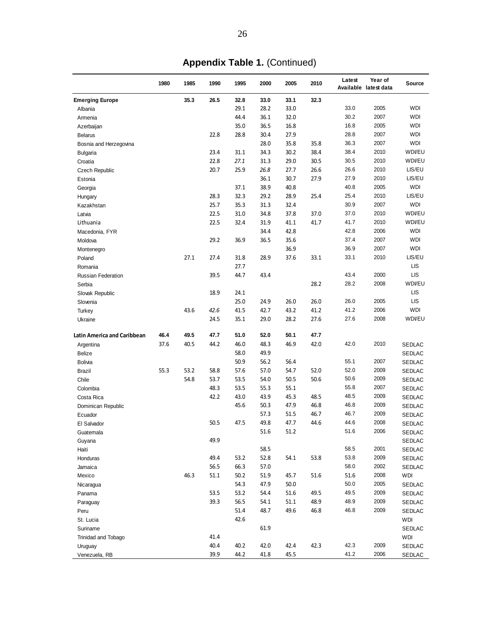|                                    | 1980 | 1985 | 1990 | 1995 | 2000 | 2005         | 2010 | Latest | Year of<br>Available latest data | <b>Source</b> |
|------------------------------------|------|------|------|------|------|--------------|------|--------|----------------------------------|---------------|
| <b>Emerging Europe</b>             |      | 35.3 | 26.5 | 32.8 | 33.0 | 33.1         | 32.3 |        |                                  |               |
| Albania                            |      |      |      | 29.1 | 28.2 | 33.0         |      | 33.0   | 2005                             | <b>WDI</b>    |
| Armenia                            |      |      |      | 44.4 | 36.1 | 32.0         |      | 30.2   | 2007                             | <b>WDI</b>    |
| Azerbaijan                         |      |      |      | 35.0 | 36.5 | 16.8         |      | 16.8   | 2005                             | <b>WDI</b>    |
| <b>Belarus</b>                     |      |      | 22.8 | 28.8 | 30.4 | 27.9         |      | 28.8   | 2007                             | <b>WDI</b>    |
| Bosnia and Herzegovina             |      |      |      |      | 28.0 | 35.8         | 35.8 | 36.3   | 2007                             | <b>WDI</b>    |
| <b>Bulgaria</b>                    |      |      | 23.4 | 31.1 | 34.3 | 30.2         | 38.4 | 38.4   | 2010                             | WDVEU         |
| Croatia                            |      |      | 22.8 | 27.1 | 31.3 | 29.0         | 30.5 | 30.5   | 2010                             | WDI/EU        |
| Czech Republic                     |      |      | 20.7 | 25.9 | 26.8 | 27.7         | 26.6 | 26.6   | 2010                             | LIS/EU        |
| Estonia                            |      |      |      |      | 36.1 | 30.7         | 27.9 | 27.9   | 2010                             | LIS/EU        |
| Georgia                            |      |      |      | 37.1 | 38.9 | 40.8         |      | 40.8   | 2005                             | <b>WDI</b>    |
| Hungary                            |      |      | 28.3 | 32.3 | 29.2 | 28.9         | 25.4 | 25.4   | 2010                             | LIS/EU        |
| Kazakhstan                         |      |      | 25.7 | 35.3 | 31.3 | 32.4         |      | 30.9   | 2007                             | <b>WDI</b>    |
| Latvia                             |      |      | 22.5 | 31.0 | 34.8 | 37.8         | 37.0 | 37.0   | 2010                             | WDI/EU        |
| Lithuania                          |      |      | 22.5 | 32.4 | 31.9 | 41.1         | 41.7 | 41.7   | 2010                             | WDI/EU        |
| Macedonia, FYR                     |      |      |      |      | 34.4 | 42.8         |      | 42.8   | 2006                             | <b>WDI</b>    |
| Moldova                            |      |      | 29.2 | 36.9 | 36.5 | 35.6         |      | 37.4   | 2007                             | <b>WDI</b>    |
| Montenegro                         |      |      |      |      |      | 36.9         |      | 36.9   | 2007                             | <b>WDI</b>    |
| Poland                             |      | 27.1 | 27.4 | 31.8 | 28.9 | 37.6         | 33.1 | 33.1   | 2010                             | LIS/EU        |
| Romania                            |      |      |      | 27.7 |      |              |      |        |                                  | <b>LIS</b>    |
|                                    |      |      | 39.5 | 44.7 | 43.4 |              |      | 43.4   | 2000                             | LIS           |
| <b>Russian Federation</b>          |      |      |      |      |      |              | 28.2 | 28.2   | 2008                             | WDI/EU        |
| Serbia                             |      |      |      |      |      |              |      |        |                                  | <b>LIS</b>    |
| Slovak Republic                    |      |      | 18.9 | 24.1 |      |              |      |        |                                  | <b>LIS</b>    |
| Slovenia                           |      |      |      | 25.0 | 24.9 | 26.0         | 26.0 | 26.0   | 2005                             |               |
| Turkey                             |      | 43.6 | 42.6 | 41.5 | 42.7 | 43.2         | 41.2 | 41.2   | 2006                             | <b>WDI</b>    |
| Ukraine                            |      |      | 24.5 | 35.1 | 29.0 | 28.2         | 27.6 | 27.6   | 2008                             | WDI/EU        |
| <b>Latin America and Caribbean</b> | 46.4 | 49.5 | 47.7 | 51.0 | 52.0 | 50.1         | 47.7 |        |                                  |               |
| Argentina                          | 37.6 | 40.5 | 44.2 | 46.0 | 48.3 | 46.9         | 42.0 | 42.0   | 2010                             | <b>SEDLAC</b> |
| <b>Belize</b>                      |      |      |      | 58.0 | 49.9 |              |      |        |                                  | <b>SEDLAC</b> |
| Bolivia                            |      |      |      | 50.9 | 56.2 | 56.4         |      | 55.1   | 2007                             | <b>SEDLAC</b> |
| <b>Brazil</b>                      | 55.3 | 53.2 | 58.8 | 57.6 | 57.0 | 54.7         | 52.0 | 52.0   | 2009                             | <b>SEDLAC</b> |
| Chile                              |      | 54.8 | 53.7 | 53.5 | 54.0 | 50.5         | 50.6 | 50.6   | 2009                             | <b>SEDLAC</b> |
| Colombia                           |      |      | 48.3 | 53.5 | 55.3 | 55.1         |      | 55.8   | 2007                             | <b>SEDLAC</b> |
| Costa Rica                         |      |      | 42.2 | 43.0 | 43.9 | 45.3         | 48.5 | 48.5   | 2009                             | <b>SEDLAC</b> |
| Dominican Republic                 |      |      |      | 45.6 | 50.3 | 47.9         | 46.8 | 46.8   | 2009                             | <b>SEDLAC</b> |
| Ecuador                            |      |      |      |      | 57.3 | 51.5         | 46.7 | 46.7   | 2009                             | SEDLAC        |
| El Salvador                        |      |      | 50.5 | 47.5 | 49.8 | 47.7         | 44.6 | 44.6   | 2008                             | SEDLAC        |
| Guatemala                          |      |      |      |      | 51.6 | 51.2         |      | 51.6   | 2006                             | SEDLAC        |
| Guyana                             |      |      | 49.9 |      |      |              |      |        |                                  | SEDLAC        |
| Haiti                              |      |      |      |      | 58.5 |              |      | 58.5   | 2001                             | <b>SEDLAC</b> |
| Honduras                           |      |      | 49.4 | 53.2 | 52.8 | 54.1         | 53.8 | 53.8   | 2009                             | SEDLAC        |
| Jamaica                            |      |      | 56.5 | 66.3 | 57.0 |              |      | 58.0   | 2002                             | SEDLAC        |
| Mexico                             |      | 46.3 | 51.1 | 50.2 | 51.9 | 45.7         | 51.6 | 51.6   | 2008                             | WDI           |
|                                    |      |      |      | 54.3 | 47.9 |              |      | 50.0   | 2005                             |               |
| Nicaragua                          |      |      | 53.5 | 53.2 | 54.4 | 50.0<br>51.6 | 49.5 | 49.5   | 2009                             | SEDLAC        |
| Panama                             |      |      |      |      |      |              |      | 48.9   | 2009                             | SEDLAC        |
| Paraguay                           |      |      | 39.3 | 56.5 | 54.1 | 51.1         | 48.9 |        |                                  | SEDLAC        |
| Peru                               |      |      |      | 51.4 | 48.7 | 49.6         | 46.8 | 46.8   | 2009                             | SEDLAC        |
| St. Lucia                          |      |      |      | 42.6 |      |              |      |        |                                  | WDI           |
| Suriname                           |      |      |      |      | 61.9 |              |      |        |                                  | SEDLAC        |
| Trinidad and Tobago                |      |      | 41.4 |      |      |              |      |        |                                  | <b>WDI</b>    |
| Uruguay                            |      |      | 40.4 | 40.2 | 42.0 | 42.4         | 42.3 | 42.3   | 2009                             | SEDLAC        |
| Venezuela, RB                      |      |      | 39.9 | 44.2 | 41.8 | 45.5         |      | 41.2   | 2006                             | SEDLAC        |

**Appendix Table 1.** (Continued)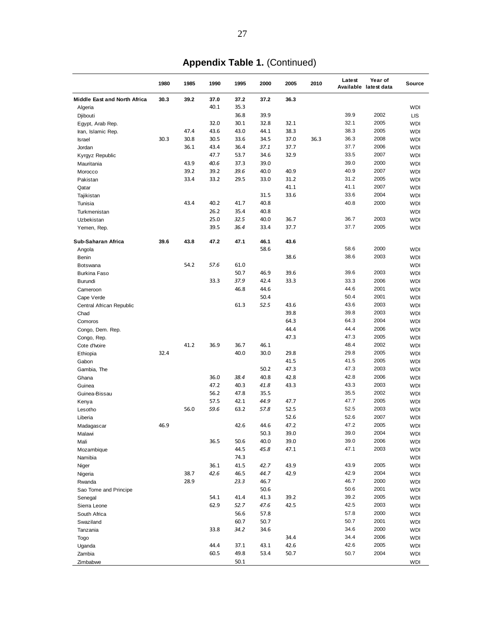|                              | 1980 | 1985 | 1990 | 1995 | 2000 | 2005 | 2010 | Latest | Year of<br>Available latest data | Source     |
|------------------------------|------|------|------|------|------|------|------|--------|----------------------------------|------------|
| Middle East and North Africa | 30.3 | 39.2 | 37.0 | 37.2 | 37.2 | 36.3 |      |        |                                  |            |
| Algeria                      |      |      | 40.1 | 35.3 |      |      |      |        |                                  | <b>WDI</b> |
| Djibouti                     |      |      |      | 36.8 | 39.9 |      |      | 39.9   | 2002                             | <b>LIS</b> |
| Egypt, Arab Rep.             |      |      | 32.0 | 30.1 | 32.8 | 32.1 |      | 32.1   | 2005                             | <b>WDI</b> |
| Iran, Islamic Rep.           |      | 47.4 | 43.6 | 43.0 | 44.1 | 38.3 |      | 38.3   | 2005                             | <b>WDI</b> |
| <b>Israel</b>                | 30.3 | 30.8 | 30.5 | 33.6 | 34.5 | 37.0 | 36.3 | 36.3   | 2008                             | <b>WDI</b> |
| Jordan                       |      | 36.1 | 43.4 | 36.4 | 37.1 | 37.7 |      | 37.7   | 2006                             | <b>WDI</b> |
| Kyrgyz Republic              |      |      | 47.7 | 53.7 | 34.6 | 32.9 |      | 33.5   | 2007                             | <b>WDI</b> |
| Mauritania                   |      | 43.9 | 40.6 | 37.3 | 39.0 |      |      | 39.0   | 2000                             | <b>WDI</b> |
| Morocco                      |      | 39.2 | 39.2 | 39.6 | 40.0 | 40.9 |      | 40.9   | 2007                             | <b>WDI</b> |
| Pakistan                     |      | 33.4 | 33.2 | 29.5 | 33.0 | 31.2 |      | 31.2   | 2005                             | <b>WDI</b> |
| Qatar                        |      |      |      |      |      | 41.1 |      | 41.1   | 2007                             | <b>WDI</b> |
| Tajikistan                   |      |      |      |      | 31.5 | 33.6 |      | 33.6   | 2004                             | <b>WDI</b> |
| Tunisia                      |      | 43.4 | 40.2 | 41.7 | 40.8 |      |      | 40.8   | 2000                             | <b>WDI</b> |
| Turkmenistan                 |      |      | 26.2 | 35.4 | 40.8 |      |      |        |                                  | <b>WDI</b> |
| Uzbekistan                   |      |      | 25.0 | 32.5 | 40.0 | 36.7 |      | 36.7   | 2003                             | <b>WDI</b> |
| Yemen, Rep.                  |      |      | 39.5 | 36.4 | 33.4 | 37.7 |      | 37.7   | 2005                             | <b>WDI</b> |
| Sub-Saharan Africa           | 39.6 | 43.8 | 47.2 | 47.1 | 46.1 | 43.6 |      |        |                                  |            |
| Angola                       |      |      |      |      | 58.6 |      |      | 58.6   | 2000                             | <b>WDI</b> |
| Benin                        |      |      |      |      |      | 38.6 |      | 38.6   | 2003                             | <b>WDI</b> |
| Botswana                     |      | 54.2 | 57.6 | 61.0 |      |      |      |        |                                  | <b>WDI</b> |
| Burkina Faso                 |      |      |      | 50.7 | 46.9 | 39.6 |      | 39.6   | 2003                             | <b>WDI</b> |
| Burundi                      |      |      | 33.3 | 37.9 | 42.4 | 33.3 |      | 33.3   | 2006                             | <b>WDI</b> |
| Cameroon                     |      |      |      | 46.8 | 44.6 |      |      | 44.6   | 2001                             | <b>WDI</b> |
| Cape Verde                   |      |      |      |      | 50.4 |      |      | 50.4   | 2001                             | <b>WDI</b> |
| Central African Republic     |      |      |      | 61.3 | 52.5 | 43.6 |      | 43.6   | 2003                             | <b>WDI</b> |
| Chad                         |      |      |      |      |      | 39.8 |      | 39.8   | 2003                             | <b>WDI</b> |
| Comoros                      |      |      |      |      |      | 64.3 |      | 64.3   | 2004                             | <b>WDI</b> |
| Congo, Dem. Rep.             |      |      |      |      |      | 44.4 |      | 44.4   | 2006                             | <b>WDI</b> |
| Congo, Rep.                  |      |      |      |      |      | 47.3 |      | 47.3   | 2005                             | <b>WDI</b> |
| Cote d'Ivoire                |      | 41.2 | 36.9 | 36.7 | 46.1 |      |      | 48.4   | 2002                             | <b>WDI</b> |
| Ethiopia                     | 32.4 |      |      | 40.0 | 30.0 | 29.8 |      | 29.8   | 2005                             | <b>WDI</b> |
| Gabon                        |      |      |      |      |      | 41.5 |      | 41.5   | 2005                             | <b>WDI</b> |
| Gambia, The                  |      |      |      |      | 50.2 | 47.3 |      | 47.3   | 2003                             | <b>WDI</b> |
| Ghana                        |      |      | 36.0 | 38.4 | 40.8 | 42.8 |      | 42.8   | 2006                             | <b>WDI</b> |
| Guinea                       |      |      | 47.2 | 40.3 | 41.8 | 43.3 |      | 43.3   | 2003                             | <b>WDI</b> |
| Guinea-Bissau                |      |      | 56.2 | 47.8 | 35.5 |      |      | 35.5   | 2002                             | <b>WDI</b> |
| Kenya                        |      |      | 57.5 | 42.1 | 44.9 | 47.7 |      | 47.7   | 2005                             | <b>WDI</b> |
| Lesotho                      |      | 56.0 | 59.6 | 63.2 | 57.8 | 52.5 |      | 52.5   | 2003                             | <b>WDI</b> |
| Liberia                      |      |      |      |      |      | 52.6 |      | 52.6   | 2007                             | <b>WDI</b> |
| Madagascar                   | 46.9 |      |      | 42.6 | 44.6 | 47.2 |      | 47.2   | 2005                             | WDI        |
| Malawi                       |      |      |      |      | 50.3 | 39.0 |      | 39.0   | 2004                             | <b>WDI</b> |
| Mali                         |      |      | 36.5 | 50.6 | 40.0 | 39.0 |      | 39.0   | 2006                             | <b>WDI</b> |
| Mozambique                   |      |      |      | 44.5 | 45.8 | 47.1 |      | 47.1   | 2003                             | <b>WDI</b> |
| Namibia                      |      |      |      | 74.3 |      |      |      |        |                                  | <b>WDI</b> |
| Niger                        |      |      | 36.1 | 41.5 | 42.7 | 43.9 |      | 43.9   | 2005                             | <b>WDI</b> |
| Nigeria                      |      | 38.7 | 42.6 | 46.5 | 44.7 | 42.9 |      | 42.9   | 2004                             | <b>WDI</b> |
| Rwanda                       |      | 28.9 |      | 23.3 | 46.7 |      |      | 46.7   | 2000                             | <b>WDI</b> |
| Sao Tome and Principe        |      |      |      |      | 50.6 |      |      | 50.6   | 2001                             | <b>WDI</b> |
| Senegal                      |      |      | 54.1 | 41.4 | 41.3 | 39.2 |      | 39.2   | 2005                             | <b>WDI</b> |
| Sierra Leone                 |      |      | 62.9 | 52.7 | 47.6 | 42.5 |      | 42.5   | 2003                             | <b>WDI</b> |
| South Africa                 |      |      |      | 56.6 | 57.8 |      |      | 57.8   | 2000                             | <b>WDI</b> |
| Swaziland                    |      |      |      | 60.7 | 50.7 |      |      | 50.7   | 2001                             | <b>WDI</b> |
| Tanzania                     |      |      | 33.8 | 34.2 | 34.6 |      |      | 34.6   | 2000                             | <b>WDI</b> |
| Togo                         |      |      |      |      |      | 34.4 |      | 34.4   | 2006                             | <b>WDI</b> |
| Uganda                       |      |      | 44.4 | 37.1 | 43.1 | 42.6 |      | 42.6   | 2005                             | <b>WDI</b> |
| Zambia                       |      |      | 60.5 | 49.8 | 53.4 | 50.7 |      | 50.7   | 2004                             | <b>WDI</b> |
| Zimbabwe                     |      |      |      | 50.1 |      |      |      |        |                                  | <b>WDI</b> |

**Appendix Table 1.** (Continued)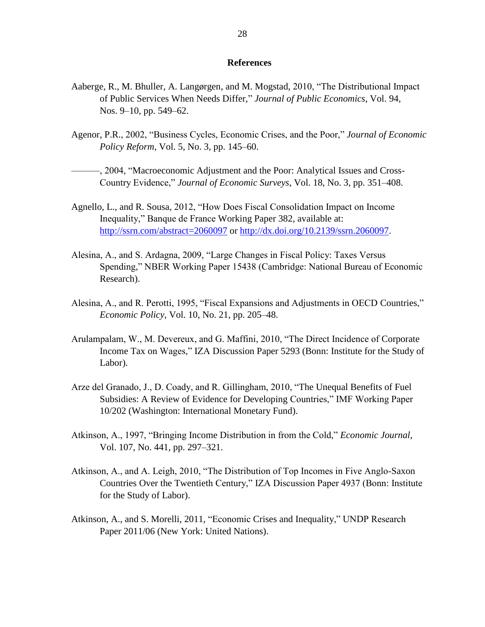#### **References**

- Aaberge, R., M. Bhuller, A. Langørgen, and M. Mogstad, 2010, "The Distributional Impact of Public Services When Needs Differ," Journal of Public Economics, Vol. 94, Nos. 9–10, pp. 549–62.
- Agenor, P.R., 2002, "Business Cycles, Economic Crises, and the Poor," *Journal of Economic Policy Reform*, Vol. 5, No. 3, pp. 145–60.
- $-$ , 2004, "Macroeconomic Adjustment and the Poor: Analytical Issues and Cross-Country Evidence," *Journal of Economic Surveys*, Vol. 18, No. 3, pp. 351–408.
- Agnello, L., and R. Sousa, 2012, "How Does Fiscal Consolidation Impact on Income Inequality," Banque de France Working Paper 382, available at: <http://ssrn.com/abstract=2060097> or [http://dx.doi.org/10.2139/ssrn.2060097.](http://dx.doi.org/10.2139/ssrn.2060097)
- Alesina, A., and S. Ardagna, 2009, "Large Changes in Fiscal Policy: Taxes Versus Spending," NBER Working Paper 15438 (Cambridge: National Bureau of Economic Research).
- Alesina, A., and R. Perotti, 1995, "Fiscal Expansions and Adjustments in OECD Countries," *Economic Policy*, Vol. 10, No. 21, pp. 205–48.
- Arulampalam, W., M. Devereux, and G. Maffini, 2010, "The Direct Incidence of Corporate Income Tax on Wages," IZA Discussion Paper 5293 (Bonn: Institute for the Study of Labor).
- Arze del Granado, J., D. Coady, and R. Gillingham, 2010, "The Unequal Benefits of Fuel Subsidies: A Review of Evidence for Developing Countries," IMF Working Paper 10/202 (Washington: International Monetary Fund).
- Atkinson, A., 1997, "Bringing Income Distribution in from the Cold," *Economic Journal*, Vol. 107, No. 441, pp. 297–321.
- Atkinson, A., and A. Leigh, 2010, "The Distribution of Top Incomes in Five Anglo-Saxon Countries Over the Twentieth Century," IZA Discussion Paper 4937 (Bonn: Institute for the Study of Labor).
- Atkinson, A., and S. Morelli, 2011, "Economic Crises and Inequality," UNDP Research Paper 2011/06 (New York: United Nations).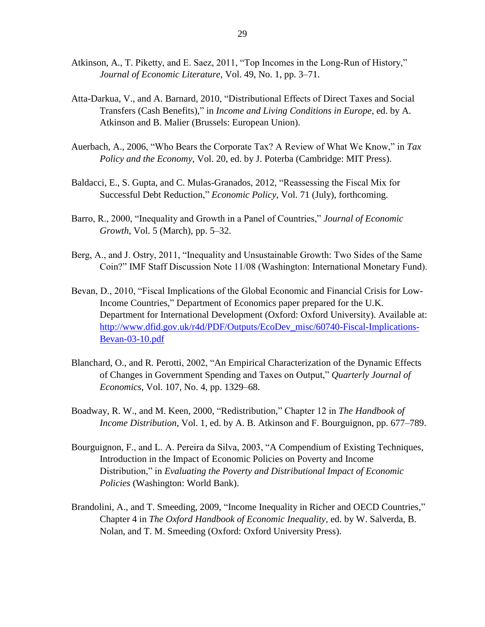- Atkinson, A., T. Piketty, and E. Saez, 2011, "Top Incomes in the Long-Run of History," *Journal of Economic Literature*, Vol. 49, No. 1, pp. 3–71.
- Atta-Darkua, V., and A. Barnard, 2010, "Distributional Effects of Direct Taxes and Social Transfers (Cash Benefits)," in *Income and Living Conditions in Europe*, ed. by A. Atkinson and B. Malier (Brussels: European Union).
- Auerbach, A., 2006, "Who Bears the Corporate Tax? A Review of What We Know," in *Tax Policy and the Economy*, Vol. 20, ed. by J. Poterba (Cambridge: MIT Press).
- Baldacci, E., S. Gupta, and C. Mulas-Granados, 2012, "Reassessing the Fiscal Mix for Successful Debt Reduction," *Economic Policy*, Vol. 71 (July), forthcoming.
- Barro, R., 2000, "Inequality and Growth in a Panel of Countries," *Journal of Economic Growth*, Vol. 5 (March), pp. 5–32.
- Berg, A., and J. Ostry, 2011, "Inequality and Unsustainable Growth: Two Sides of the Same Coin?" IMF Staff Discussion Note 11/08 (Washington: International Monetary Fund).
- Bevan, D., 2010, "Fiscal Implications of the Global Economic and Financial Crisis for Low-Income Countries," Department of Economics paper prepared for the U.K. Department for International Development (Oxford: Oxford University). Available at: [http://www.dfid.gov.uk/r4d/PDF/Outputs/EcoDev\\_misc/60740-Fiscal-Implications-](http://www.dfid.gov.uk/r4d/PDF/Outputs/EcoDev_misc/60740-Fiscal-Implications-Bevan-03-10.pdf)[Bevan-03-10.pdf](http://www.dfid.gov.uk/r4d/PDF/Outputs/EcoDev_misc/60740-Fiscal-Implications-Bevan-03-10.pdf)
- Blanchard, O., and R. Perotti, 2002, "An Empirical Characterization of the Dynamic Effects of Changes in Government Spending and Taxes on Output,‖ *Quarterly Journal of Economics*, Vol. 107, No. 4, pp. 1329–68.
- Boadway, R. W., and M. Keen, 2000, "Redistribution," Chapter 12 in *The Handbook of Income Distribution*, Vol. 1, ed. by A. B. Atkinson and F. Bourguignon, pp. 677–789.
- Bourguignon, F., and L. A. Pereira da Silva, 2003, "A Compendium of Existing Techniques, Introduction in the Impact of Economic Policies on Poverty and Income Distribution," in *Evaluating the Poverty and Distributional Impact of Economic Policies* (Washington: World Bank).
- Brandolini, A., and T. Smeeding, 2009, "Income Inequality in Richer and OECD Countries," Chapter 4 in *The Oxford Handbook of Economic Inequality,* ed. by W. Salverda, B. Nolan, and T. M. Smeeding (Oxford: Oxford University Press).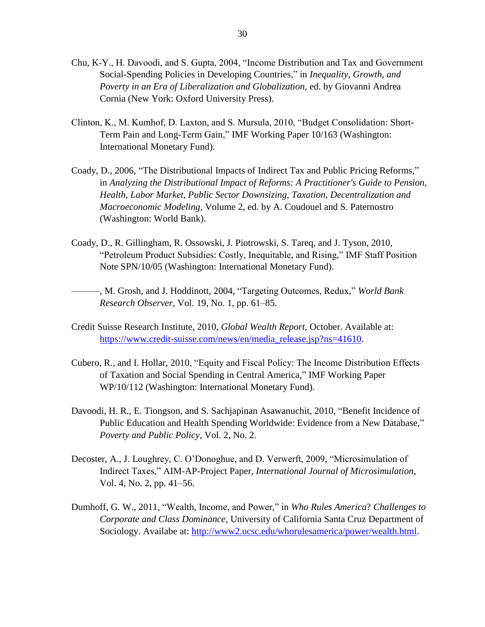- Chu, K-Y., H. Davoodi, and S. Gupta, 2004, "Income Distribution and Tax and Government Social-Spending Policies in Developing Countries," in *Inequality, Growth, and Poverty in an Era of Liberalization and Globalization*, ed. by Giovanni Andrea Cornia (New York: Oxford University Press).
- Clinton, K., M. Kumhof, D. Laxton, and S. Mursula, 2010, "Budget Consolidation: Short-Term Pain and Long-Term Gain," IMF Working Paper 10/163 (Washington: International Monetary Fund).
- Coady, D., 2006, "The Distributional Impacts of Indirect Tax and Public Pricing Reforms," in *Analyzing the Distributional Impact of Reforms: A Practitioner's Guide to Pension, Health, Labor Market, Public Sector Downsizing, Taxation, Decentralization and Macroeconomic Modeling,* Volume 2, ed. by A. Coudouel and S. Paternostro (Washington: World Bank).
- Coady, D., R. Gillingham, R. Ossowski, J. Piotrowski, S. Tareq, and J. Tyson, 2010, "Petroleum Product Subsidies: Costly, Inequitable, and Rising," IMF Staff Position Note SPN/10/05 (Washington: International Monetary Fund).
- ———, M. Grosh, and J. Hoddinott, 2004, ―Targeting Outcomes, Redux,‖ *World Bank Research Observer*, Vol. 19, No. 1, pp. 61–85.
- Credit Suisse Research Institute, 2010, *Global Wealth Report*, October. Available at: [https://www.credit-suisse.com/news/en/media\\_release.jsp?ns=41610.](https://www.credit-suisse.com/news/en/media_release.jsp?ns=41610)
- Cubero, R., and I. Hollar, 2010, "Equity and Fiscal Policy: The Income Distribution Effects of Taxation and Social Spending in Central America," IMF Working Paper WP/10/112 (Washington: International Monetary Fund).
- Davoodi, H. R., E. Tiongson, and S. Sachjapinan Asawanuchit, 2010, "Benefit Incidence of Public Education and Health Spending Worldwide: Evidence from a New Database," *Poverty and Public Policy*, Vol. 2, No. 2.
- Decoster, A., J. Loughrey, C. O'Donoghue, and D. Verwerft, 2009, "Microsimulation of Indirect Taxes,‖ AIM-AP-Project Paper, *International Journal of Microsimulation*, Vol. 4, No. 2, pp. 41–56.
- Dumhoff, G. W., 2011, "Wealth, Income, and Power," in *Who Rules America*? *Challenges to Corporate and Class Dominance*, University of California Santa Cruz Department of Sociology. Availabe at: [http://www2.ucsc.edu/whorulesamerica/power/wealth.html.](http://www2.ucsc.edu/whorulesamerica/power/wealth.html)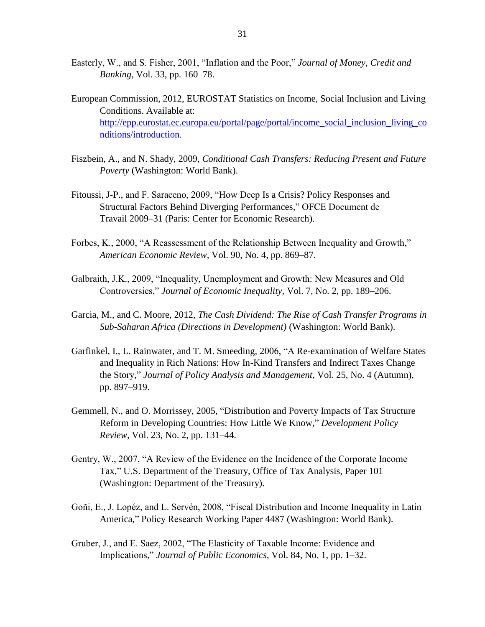- Easterly, W., and S. Fisher, 2001, "Inflation and the Poor," *Journal of Money, Credit and Banking*, Vol. 33, pp. 160–78.
- European Commission, 2012, EUROSTAT Statistics on Income, Social Inclusion and Living Conditions. Available at: [http://epp.eurostat.ec.europa.eu/portal/page/portal/income\\_social\\_inclusion\\_living\\_co](http://epp.eurostat.ec.europa.eu/portal/page/portal/income_social_inclusion_living_conditions/introduction) [nditions/introduction.](http://epp.eurostat.ec.europa.eu/portal/page/portal/income_social_inclusion_living_conditions/introduction)
- Fiszbein, A., and N. Shady, 2009, *Conditional Cash Transfers: Reducing Present and Future Poverty* (Washington: World Bank).
- Fitoussi, J-P., and F. Saraceno, 2009, "How Deep Is a Crisis? Policy Responses and Structural Factors Behind Diverging Performances," OFCE Document de Travail 2009–31 (Paris: Center for Economic Research).
- Forbes, K., 2000, "A Reassessment of the Relationship Between Inequality and Growth," *American Economic Review*, Vol. 90, No. 4, pp. 869–87.
- Galbraith, J.K., 2009, "Inequality, Unemployment and Growth: New Measures and Old Controversies," *[Journal of Economic Inequality](http://www.springerlink.com/content/111137/?p=06e9b3101527442ea76d05b544d71d69&pi=0)*, Vol. 7, No. 2, pp. 189–206.
- Garcia, M., and C. Moore, 2012, *The Cash Dividend: The Rise of Cash Transfer Programs in Sub-Saharan Africa (Directions in Development)* (Washington: World Bank).
- Garfinkel, I., L. Rainwater, and T. M. Smeeding, 2006, "A Re-examination of Welfare States and Inequality in Rich Nations: How In-Kind Transfers and Indirect Taxes Change the Story,‖ *Journal of Policy Analysis and Management*, Vol. 25, No. 4 (Autumn), pp. 897–919.
- Gemmell, N., and O. Morrissey, 2005, "Distribution and Poverty Impacts of Tax Structure Reform in Developing Countries: How Little We Know," *Development Policy Review*, Vol. 23, No. 2, pp. 131–44.
- Gentry, W., 2007, "A Review of the Evidence on the Incidence of the Corporate Income Tax," U.S. Department of the Treasury, Office of Tax Analysis, Paper 101 (Washington: Department of the Treasury).
- Goñi, E., J. Lopéz, and L. Servén, 2008, "Fiscal Distribution and Income Inequality in Latin America," Policy Research Working Paper 4487 (Washington: World Bank).
- Gruber, J., and E. Saez, 2002, "The Elasticity of Taxable Income: Evidence and Implications," *Journal of Public Economics*, Vol. 84, No. 1, pp. 1–32.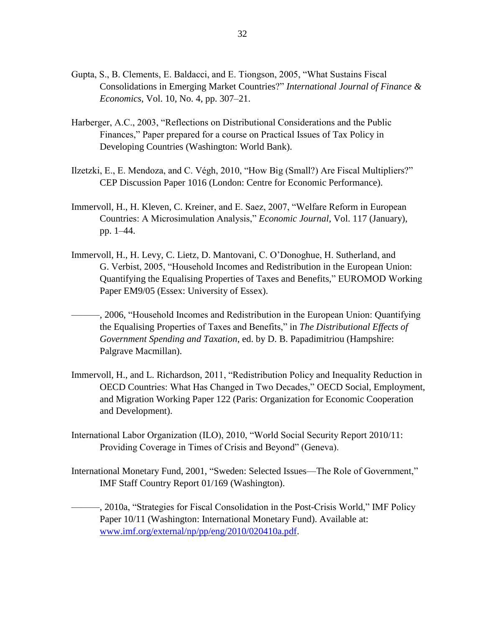- Gupta, S., B. Clements, E. Baldacci, and E. Tiongson, 2005, "What Sustains Fiscal Consolidations in Emerging Market Countries?" *International Journal of Finance & Economics*, Vol. 10, No. 4, pp. 307–21.
- Harberger, A.C., 2003, "Reflections on Distributional Considerations and the Public Finances," Paper prepared for a course on Practical Issues of Tax Policy in Developing Countries (Washington: World Bank).
- Ilzetzki, E., E. Mendoza, and C. Végh, 2010, "How Big (Small?) Are Fiscal Multipliers?" CEP Discussion Paper 1016 (London: Centre for Economic Performance).
- Immervoll, H., H. Kleven, C. Kreiner, and E. Saez, 2007, "Welfare Reform in European Countries: A Microsimulation Analysis," *Economic Journal*, Vol. 117 (January), pp. 1–44.
- Immervoll, H., H. Levy, C. Lietz, D. Mantovani, C. O'Donoghue, H. Sutherland, and G. Verbist, 2005, "Household Incomes and Redistribution in the European Union: Quantifying the Equalising Properties of Taxes and Benefits," EUROMOD Working Paper EM9/05 (Essex: University of Essex).
- –, 2006, "Household Incomes and Redistribution in the European Union: Quantifying the Equalising Properties of Taxes and Benefits," in *The Distributional Effects of Government Spending and Taxation*, ed. by D. B. Papadimitriou (Hampshire: Palgrave Macmillan).
- Immervoll, H., and L. Richardson, 2011, "Redistribution Policy and Inequality Reduction in OECD Countries: What Has Changed in Two Decades," OECD Social, Employment, and Migration Working Paper 122 (Paris: Organization for Economic Cooperation and Development).
- International Labor Organization (ILO), 2010, "World Social Security Report 2010/11: Providing Coverage in Times of Crisis and Beyond" (Geneva).
- International Monetary Fund, 2001, "Sweden: Selected Issues—The Role of Government," IMF Staff Country Report 01/169 (Washington).
- $-$ , 2010a, "Strategies for Fiscal Consolidation in the Post-Crisis World," IMF Policy Paper 10/11 (Washington: International Monetary Fund). Available at: [www.imf.org/external/np/pp/eng/2010/020410a.pdf.](http://www.imf.org/external/np/pp/eng/2010/020410a.pdf)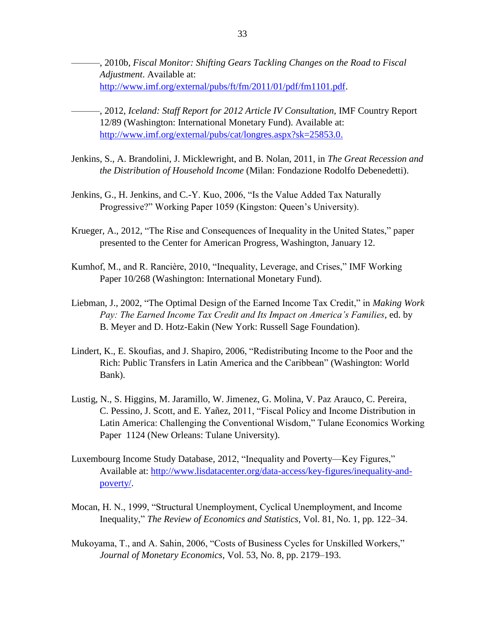––––––, 2010b, *Fiscal Monitor: Shifting Gears Tackling Changes on the Road to Fiscal Adjustment*. Available at: [http://www.imf.org/external/pubs/ft/fm/2011/01/pdf/fm1101.pdf.](http://www.imf.org/external/pubs/ft/fm/2011/01/pdf/fm1101.pdf)

- ––––––, 2012, *Iceland: Staff Report for 2012 Article IV Consultation,* IMF Country Report 12/89 (Washington: International Monetary Fund). Available at: [http://www.imf.org/external/pubs/cat/longres.aspx?sk=25853.0.](http://www.imf.org/external/pubs/cat/longres.aspx?sk=25853.0)
- Jenkins, S., A. Brandolini, J. Micklewright, and B. Nolan, 2011, in *The Great Recession and the Distribution of Household Income* (Milan: Fondazione Rodolfo Debenedetti).
- Jenkins, G., H. Jenkins, and C.-Y. Kuo, 2006, "Is the Value Added Tax Naturally Progressive?" Working Paper 1059 (Kingston: Queen's University).
- Krueger, A., 2012, "The Rise and Consequences of Inequality in the United States," paper presented to the Center for American Progress, Washington, January 12.
- Kumhof, M., and R. Rancière, 2010, "Inequality, Leverage, and Crises," IMF Working Paper 10/268 (Washington: International Monetary Fund).
- Liebman, J., 2002, "The Optimal Design of the Earned Income Tax Credit," in *Making Work Pay: The Earned Income Tax Credit and Its Impact on America's Families*, ed. by B. Meyer and D. Hotz-Eakin (New York: Russell Sage Foundation).
- Lindert, K., E. Skoufias, and J. Shapiro, 2006, "Redistributing Income to the Poor and the Rich: Public Transfers in Latin America and the Caribbean" (Washington: World Bank).
- Lustig, N., S. Higgins, M. Jaramillo, W. Jimenez, G. Molina, V. Paz Arauco, C. Pereira, C. Pessino, J. Scott, and E. Yañez, 2011, "Fiscal Policy and Income Distribution in Latin America: Challenging the Conventional Wisdom," Tulane Economics Working Paper 1124 (New Orleans: Tulane University).
- Luxembourg Income Study Database, 2012, "Inequality and Poverty—Key Figures," Available at: [http://www.lisdatacenter.org/data-access/key-figures/inequality-and](http://www.lisdatacenter.org/data-access/key-figures/inequality-and-poverty/)[poverty/.](http://www.lisdatacenter.org/data-access/key-figures/inequality-and-poverty/)
- Mocan, H. N., 1999, "Structural Unemployment, Cyclical Unemployment, and Income Inequality,‖ *The Review of Economics and Statistics*, Vol. 81, No. 1, pp. 122–34.
- Mukoyama, T., and A. Sahin, 2006, "Costs of Business Cycles for Unskilled Workers," *Journal of Monetary Economics*, Vol. 53, No. 8, pp. 2179–193.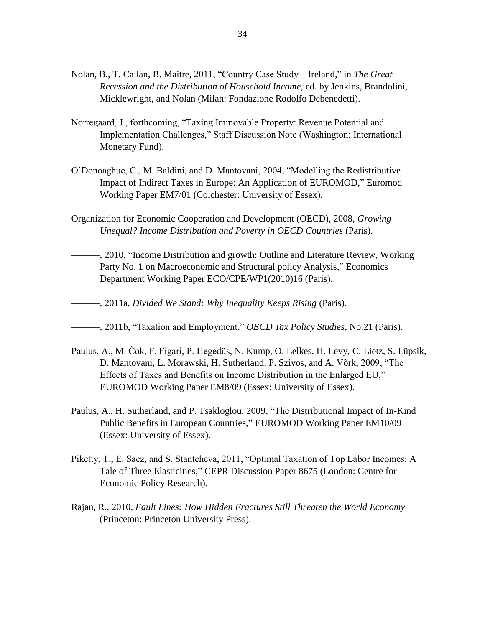- Nolan, B., T. Callan, B. Maitre, 2011, "Country Case Study—Ireland," in *The Great Recession and the Distribution of Household Income*, ed. by Jenkins, Brandolini, Micklewright, and Nolan (Milan: Fondazione Rodolfo Debenedetti).
- Norregaard, J., forthcoming, "Taxing Immovable Property: Revenue Potential and Implementation Challenges," Staff Discussion Note (Washington: International Monetary Fund).
- O'Donoaghue, C., M. Baldini, and D. Mantovani, 2004, "Modelling the Redistributive Impact of Indirect Taxes in Europe: An Application of EUROMOD," Euromod Working Paper EM7/01 (Colchester: University of Essex).
- Organization for Economic Cooperation and Development (OECD), 2008, *Growing Unequal? Income Distribution and Poverty in OECD Countries (Paris).*
- —, 2010, "Income Distribution and growth: Outline and Literature Review, Working Party No. 1 on Macroeconomic and Structural policy Analysis," Economics Department Working Paper ECO/CPE/WP1(2010)16 (Paris).
- ———, 2011a, *Divided We Stand: Why Inequality Keeps Rising* (Paris).
- ———, 2011b, "Taxation and Employment," *OECD Tax Policy Studies*, No.21 (Paris).
- Paulus, A., M. Čok, F. Figari, P. Hegedüs, N. Kump, O. Lelkes, H. Levy, C. Lietz, S. Lüpsik, D. Mantovani, L. Morawski, H. Sutherland, P. Szivos, and A. Võrk, 2009, "The Effects of Taxes and Benefits on Income Distribution in the Enlarged EU," EUROMOD Working Paper EM8/09 (Essex: University of Essex).
- Paulus, A., H. Sutherland, and P. Tsakloglou, 2009, "The Distributional Impact of In-Kind Public Benefits in European Countries," EUROMOD Working Paper EM10/09 (Essex: University of Essex).
- Piketty, T., E. Saez, and S. Stantcheva, 2011, "Optimal Taxation of Top Labor Incomes: A Tale of Three Elasticities," CEPR Discussion Paper 8675 (London: Centre for Economic Policy Research).
- Rajan, R., 2010, *Fault Lines: How Hidden Fractures Still Threaten the World Economy* (Princeton: Princeton University Press).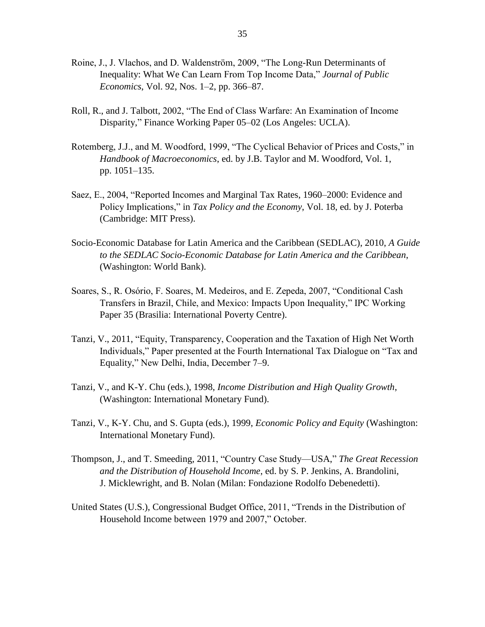- Roine, J., J. Vlachos, and D. Waldenström, 2009, "The Long-Run Determinants of Inequality: What We Can Learn From Top Income Data," *Journal of Public Economics*, Vol. 92, Nos. 1–2, pp. 366–87.
- Roll, R., and J. Talbott, 2002, "The End of Class Warfare: An Examination of Income Disparity," Finance Working Paper 05–02 (Los Angeles: UCLA).
- Rotemberg, J.J., and M. Woodford, 1999, "The Cyclical Behavior of Prices and Costs," in *Handbook of Macroeconomics*, ed. by J.B. Taylor and M. Woodford, Vol. 1, pp. 1051–135.
- Saez, E., 2004, "Reported Incomes and Marginal Tax Rates, 1960–2000: Evidence and Policy Implications," in *Tax Policy and the Economy*, Vol. 18, ed. by J. Poterba (Cambridge: MIT Press).
- Socio-Economic Database for Latin America and the Caribbean (SEDLAC), 2010, *A Guide to the SEDLAC Socio-Economic Database for Latin America and the Caribbean*, (Washington: World Bank).
- Soares, S., R. Osório, F. Soares, M. Medeiros, and E. Zepeda, 2007, "Conditional Cash Transfers in Brazil, Chile, and Mexico: Impacts Upon Inequality," IPC Working Paper 35 (Brasilia: International Poverty Centre).
- Tanzi, V., 2011, "Equity, Transparency, Cooperation and the Taxation of High Net Worth Individuals," Paper presented at the Fourth International Tax Dialogue on "Tax and Equality," New Delhi, India, December 7–9.
- Tanzi, V., and K-Y. Chu (eds.), 1998, *Income Distribution and High Quality Growth*, (Washington: International Monetary Fund).
- Tanzi, V., K-Y. Chu, and S. Gupta (eds.), 1999, *Economic Policy and Equity* (Washington: International Monetary Fund).
- Thompson, J., and T. Smeeding, 2011, "Country Case Study—USA," The Great Recession *and the Distribution of Household Income*, ed. by S. P. Jenkins, A. Brandolini, J. Micklewright, and B. Nolan (Milan: Fondazione Rodolfo Debenedetti).
- United States (U.S.), Congressional Budget Office, 2011, "Trends in the Distribution of Household Income between 1979 and 2007," October.